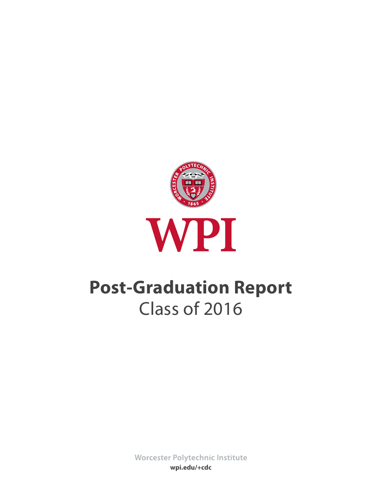

# **Post-Graduation Report** Class of 2016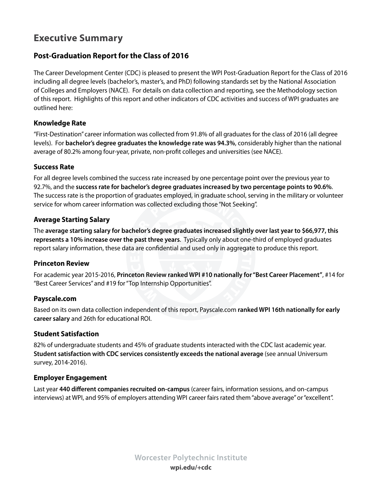# **Executive Summary**

## **Post-Graduation Report for the Class of 2016**

The Career Development Center (CDC) is pleased to present the WPI Post-Graduation Report for the Class of 2016 including all degree levels (bachelor's, master's, and PhD) following standards set by the National Association of Colleges and Employers (NACE). For details on data collection and reporting, see the Methodology section of this report. Highlights of this report and other indicators of CDC activities and success of WPI graduates are outlined here:

## **Knowledge Rate**

"First-Destination" career information was collected from 91.8% of all graduates for the class of 2016 (all degree levels). For **bachelor's degree graduates the knowledge rate was 94.3%**, considerably higher than the national average of 80.2% among four-year, private, non-profit colleges and universities (see NACE).

## **Success Rate**

For all degree levels combined the success rate increased by one percentage point over the previous year to 92.7%, and the **success rate for bachelor's degree graduates increased by two percentage points to 90.6%**. The success rate is the proportion of graduates employed, in graduate school, serving in the military or volunteer service for whom career information was collected excluding those "Not Seeking".

## **Average Starting Salary**

The **average starting salary for bachelor's degree graduates increased slightly over last year to \$66,977, this represents a 10% increase over the past three years**. Typically only about one-third of employed graduates report salary information, these data are confidential and used only in aggregate to produce this report.

## **Princeton Review**

For academic year 2015-2016, **Princeton Review ranked WPI #10 nationally for "Best Career Placement"**, #14 for "Best Career Services" and #19 for "Top Internship Opportunities".

## **Payscale.com**

Based on its own data collection independent of this report, Payscale.com **ranked WPI 16th nationally for early career salary** and 26th for educational ROI.

## **Student Satisfaction**

82% of undergraduate students and 45% of graduate students interacted with the CDC last academic year. **Student satisfaction with CDC services consistently exceeds the national average** (see annual Universum survey, 2014-2016).

## **Employer Engagement**

Last year **440 different companies recruited on-campus** (career fairs, information sessions, and on-campus interviews) at WPI, and 95% of employers attending WPI career fairs rated them "above average" or "excellent".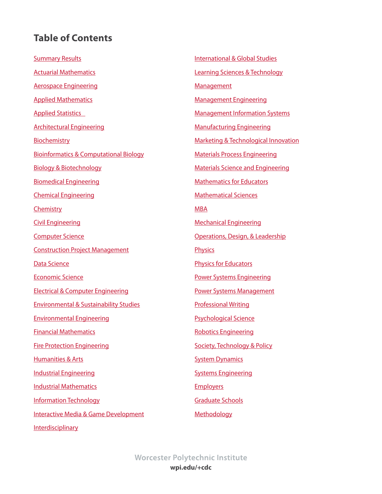# <span id="page-2-0"></span>**Table of Contents**

**[Summary Results](#page-3-0)** [Actuarial Mathematics](#page-4-0) [Aerospace Engineering](#page-5-0) [Applied Mathematics](#page-6-0) [Applied Statistics](#page-7-0) [Architectural Engineering](#page-8-0) **[Biochemistry](#page-9-0)** [Bioinformatics & Computational Biology](#page-10-0) [Biology & Biotechnology](#page-11-0)  [Biomedical Engineering](#page-12-0) [Chemical Engineering](#page-13-0) **[Chemistry](#page-14-0)** [Civil Engineering](#page-15-0) [Computer Science](#page-16-0) [Construction Project Management](#page-17-0) [Data Science](#page-18-0) [Economic Science](#page-19-0) [Electrical & Computer Engineering](#page-20-0) [Environmental & Sustainability Studies](#page-21-0) [Environmental Engineering](#page-22-0) [Financial Mathematics](#page-23-0) [Fire Protection Engineering](#page-24-0) [Humanities & Arts](#page-25-0) [Industrial Engineering](#page-26-0) [Industrial Mathematics](#page-27-0) [Information Technology](#page-28-0) [Interactive Media & Game Development](#page-29-0) [Interdisciplinary](#page-30-0)

[International](#page-31-0) & Global Studies [Learning Sciences & Technology](#page-32-0) **[Management](#page-33-0)** [Management Engineering](#page-34-0) [Management Information Systems](#page-35-0) [Manufacturing Engineering](#page-36-0) [Marketing & Technological Innovation](#page-37-0) [Materials Process Engineering](#page-38-0) [Materials Science and Engineering](#page-39-0) [Mathematics for Educators](#page-40-0) [Mathematical Sciences](#page-41-0) [MBA](#page-42-0) [Mechanical Engineering](#page-43-0) [Operations, Design, & Leadership](#page-44-0) **[Physics](#page-45-0)** [Physics for Educators](#page-46-0) [Power Systems Engineering](#page-47-0) [Power Systems Management](#page-48-0) [Professional Writing](#page-49-0) [Psychological Science](#page-50-0) [Robotics Engineering](#page-51-0) [Society, Technology & Policy](#page-52-0) **[System Dynamics](#page-53-0)** [Systems Engineering](#page-54-0) **[Employers](#page-55-0)** [Graduate Schools](#page-61-0) [Methodology](#page-62-0)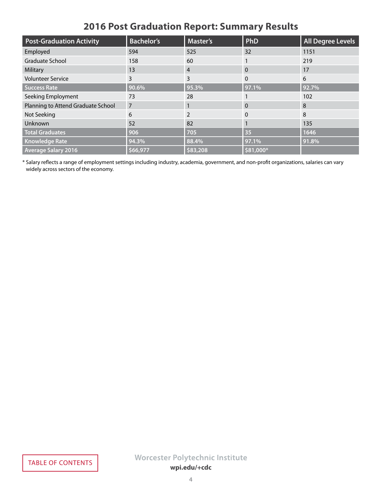| <b>2016 Post Graduation Report: Summary Results</b> |  |  |
|-----------------------------------------------------|--|--|
|-----------------------------------------------------|--|--|

<span id="page-3-0"></span>

| <b>Post-Graduation Activity</b>    | <b>Bachelor's</b> | <b>Master's</b> | PhD       | All Degree Levels |
|------------------------------------|-------------------|-----------------|-----------|-------------------|
| Employed                           | 594               | 525             | 32        | 1151              |
| <b>Graduate School</b>             | 158               | 60              |           | 219               |
| Military                           | 13                | $\overline{4}$  | $\Omega$  | 17                |
| <b>Volunteer Service</b>           | 3                 | 3               | $\Omega$  | 6                 |
| <b>Success Rate</b>                | 90.6%             | 95.3%           | 97.1%     | 92.7%             |
| Seeking Employment                 | 73                | 28              |           | 102               |
| Planning to Attend Graduate School | $\overline{7}$    |                 | $\Omega$  | 8                 |
| Not Seeking                        | 6                 | $\mathcal{P}$   | $\Omega$  | 8                 |
| Unknown                            | 52                | 82              |           | 135               |
| <b>Total Graduates</b>             | 906               | 705             | 35        | 1646              |
| <b>Knowledge Rate</b>              | 94.3%             | 88.4%           | 97.1%     | 91.8%             |
| <b>Average Salary 2016</b>         | \$66,977          | \$83,208        | \$81,000* |                   |

\* Salary reflects a range of employment settings including industry, academia, government, and non-profit organizations, salaries can vary widely across sectors of the economy.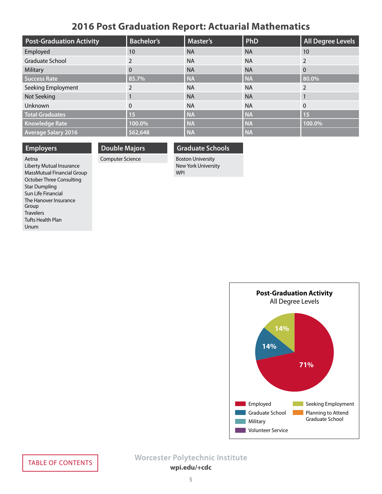## **2016 Post Graduation Report: Actuarial Mathematics**

<span id="page-4-0"></span>

| <b>Post-Graduation Activity</b> | <b>Bachelor's</b> | <b>Master's</b> | PhD       | <b>All Degree Levels</b> |
|---------------------------------|-------------------|-----------------|-----------|--------------------------|
| Employed                        | 10                | <b>NA</b>       | <b>NA</b> | 10                       |
| <b>Graduate School</b>          | 2                 | <b>NA</b>       | <b>NA</b> | 2                        |
| Military                        | $\Omega$          | <b>NA</b>       | <b>NA</b> | $\Omega$                 |
| <b>Success Rate</b>             | 85.7%             | <b>NA</b>       | <b>NA</b> | 80.0%                    |
| Seeking Employment              | 2                 | <b>NA</b>       | <b>NA</b> | $\mathcal{P}$            |
| Not Seeking                     |                   | <b>NA</b>       | <b>NA</b> |                          |
| Unknown                         | $\mathbf{0}$      | <b>NA</b>       | <b>NA</b> | $\Omega$                 |
| <b>Total Graduates</b>          | 15                | <b>NA</b>       | <b>NA</b> | <b>15</b>                |
| <b>Knowledge Rate</b>           | 100.0%            | <b>NA</b>       | <b>NA</b> | 100.0%                   |
| <b>Average Salary 2016</b>      | \$62,648          | <b>NA</b>       | <b>NA</b> |                          |

## **Employers**

## **Double Majors** Computer Science

### **Graduate Schools**

Boston University New York University WPI

Aetna Liberty Mutual Insurance MassMutual Financial Group October Three Consulting Star Dumpling Sun Life Financial The Hanover Insurance Group **Travelers** Tufts Health Plan Unum

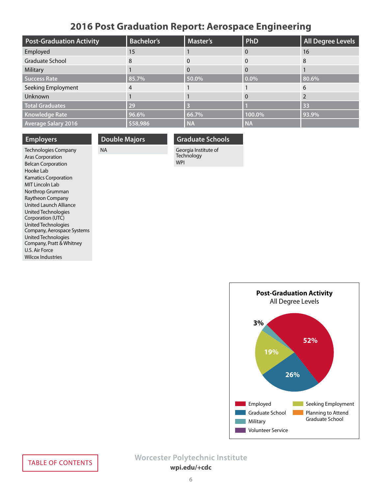## **2016 Post Graduation Report: Aerospace Engineering**

<span id="page-5-0"></span>

| <b>Post-Graduation Activity</b> | <b>Bachelor's</b> | <b>Master's</b> | PhD       | <b>All Degree Levels</b> |
|---------------------------------|-------------------|-----------------|-----------|--------------------------|
| Employed                        | 15                |                 | 0         | 16                       |
| Graduate School                 | 8                 |                 | $\Omega$  | 8                        |
| Military                        |                   |                 | $\Omega$  |                          |
| <b>Success Rate</b>             | 85.7%             | 50.0%           | $0.0\%$   | 80.6%                    |
| Seeking Employment              | 4                 |                 |           | 6                        |
| <b>Unknown</b>                  |                   |                 | 0         |                          |
| <b>Total Graduates</b>          | 29                |                 |           | 33                       |
| <b>Knowledge Rate</b>           | 96.6%             | 66.7%           | 100.0%    | 93.9%                    |
| <b>Average Salary 2016</b>      | \$58,986          | <b>NA</b>       | <b>NA</b> |                          |

**Employers**

**Double Majors** NA

### **Graduate Schools**

Technologies Company Aras Corporation Belcan Corporation Hooke Lab Kamatics Corporation MIT Lincoln Lab Northrop Grumman Raytheon Company United Launch Alliance United Technologies Corporation (UTC) United Technologies Company, Aerospace Systems United Technologies Company, Pratt & Whitney U.S. Air Force Wilcox Industries

Georgia Institute of **Technology** WPI

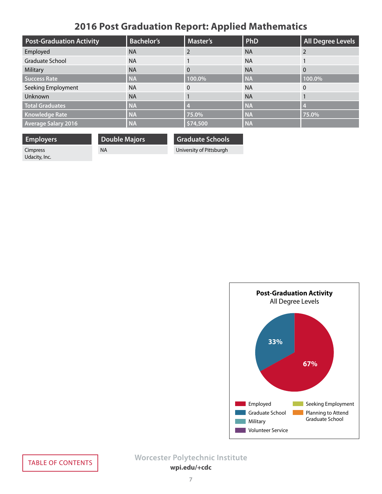# **2016 Post Graduation Report: Applied Mathematics**

<span id="page-6-0"></span>

| <b>Post-Graduation Activity</b> | <b>Bachelor's</b> | <b>Master's</b> | PhD       | <b>All Degree Levels</b> |
|---------------------------------|-------------------|-----------------|-----------|--------------------------|
| Employed                        | <b>NA</b>         |                 | <b>NA</b> |                          |
| Graduate School                 | <b>NA</b>         |                 | <b>NA</b> |                          |
| Military                        | <b>NA</b>         | 0               | <b>NA</b> | $\Omega$                 |
| <b>Success Rate</b>             | <b>NA</b>         | 100.0%          | <b>NA</b> | 100.0%                   |
| Seeking Employment              | <b>NA</b>         |                 | <b>NA</b> | $\Omega$                 |
| Unknown                         | <b>NA</b>         |                 | <b>NA</b> |                          |
| <b>Total Graduates</b>          | <b>NA</b>         |                 | <b>NA</b> | $\overline{A}$           |
| <b>Knowledge Rate</b>           | <b>NA</b>         | 75.0%           | <b>NA</b> | 75.0%                    |
| <b>Average Salary 2016</b>      | <b>NA</b>         | \$74,500        | <b>NA</b> |                          |

**Employers** Cimpress

Udacity, Inc.

NA

**Double Majors**

**Graduate Schools**

University of Pittsburgh

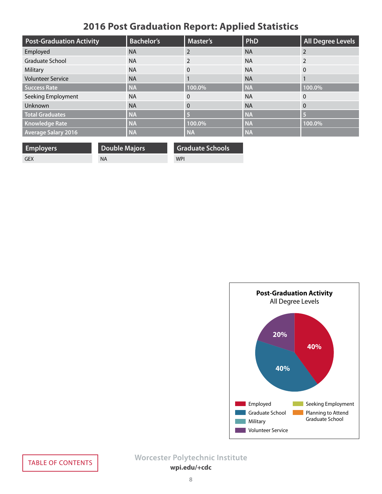# **2016 Post Graduation Report: Applied Statistics**

<span id="page-7-0"></span>

| <b>Post-Graduation Activity</b> | <b>Bachelor's</b> | <b>Master's</b> | PhD       | <b>All Degree Levels</b> |
|---------------------------------|-------------------|-----------------|-----------|--------------------------|
| Employed                        | <b>NA</b>         |                 | <b>NA</b> | $\mathcal{P}$            |
| <b>Graduate School</b>          | <b>NA</b>         | 2               | <b>NA</b> | $\overline{2}$           |
| Military                        | <b>NA</b>         | $\mathbf{0}$    | <b>NA</b> | $\Omega$                 |
| <b>Volunteer Service</b>        | <b>NA</b>         |                 | <b>NA</b> |                          |
| <b>Success Rate</b>             | <b>NA</b>         | 100.0%          | <b>NA</b> | 100.0%                   |
| Seeking Employment              | <b>NA</b>         | $\Omega$        | <b>NA</b> | $\Omega$                 |
| Unknown                         | <b>NA</b>         | $\Omega$        | <b>NA</b> | $\mathbf{0}$             |
| <b>Total Graduates</b>          | <b>NA</b>         | B               | <b>NA</b> | -5                       |
| <b>Knowledge Rate</b>           | <b>NA</b>         | 100.0%          | <b>NA</b> | 100.0%                   |
| <b>Average Salary 2016</b>      | <b>NA</b>         | <b>NA</b>       | <b>NA</b> |                          |

| <b>Employers</b> | <b>Double Majors</b> | <b>Graduate Schools</b> |
|------------------|----------------------|-------------------------|
| GEX              | NA                   | <b>WPI</b>              |

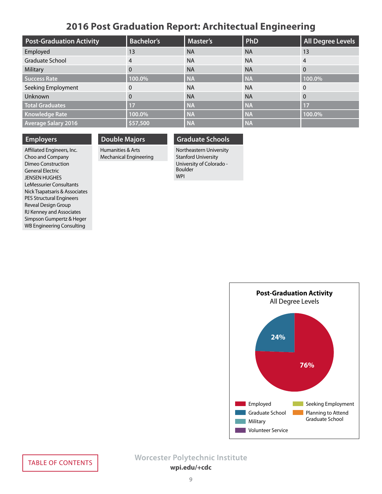## **2016 Post Graduation Report: Architectual Engineering**

<span id="page-8-0"></span>

| <b>Post-Graduation Activity</b> | <b>Bachelor's</b> | <b>Master's</b> | PhD       | All Degree Levels |
|---------------------------------|-------------------|-----------------|-----------|-------------------|
| Employed                        | 13                | <b>NA</b>       | <b>NA</b> | 13                |
| Graduate School                 | 4                 | <b>NA</b>       | <b>NA</b> | $\overline{4}$    |
| Military                        | $\Omega$          | <b>NA</b>       | <b>NA</b> | $\overline{0}$    |
| <b>Success Rate</b>             | 100.0%            | <b>NA</b>       | <b>NA</b> | 100.0%            |
| Seeking Employment              | $\Omega$          | <b>NA</b>       | <b>NA</b> | $\overline{0}$    |
| Unknown                         | $\Omega$          | <b>NA</b>       | <b>NA</b> | $\overline{0}$    |
| <b>Total Graduates</b>          | 17                | <b>NA</b>       | <b>NA</b> | 17                |
| <b>Knowledge Rate</b>           | 100.0%            | <b>NA</b>       | <b>NA</b> | 100.0%            |
| <b>Average Salary 2016</b>      | \$57,500          | <b>NA</b>       | <b>NA</b> |                   |

### **Employers**

### **Double Majors**

Humanities & Arts Mechanical Engineering **Graduate Schools**

Northeastern University Stanford University University of Colorado - Boulder WPI

Affiliated Engineers, Inc. Choo and Company Dimeo Construction General Electric JENSEN HUGHES LeMessurier Consultants Nick Tsapatsaris & Associates PES Structural Engineers Reveal Design Group RJ Kenney and Associates Simpson Gumpertz & Heger WB Engineering Consulting

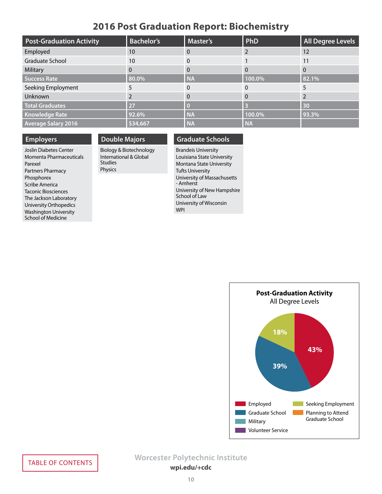## **2016 Post Graduation Report: Biochemistry**

<span id="page-9-0"></span>

| <b>Post-Graduation Activity</b> | <b>Bachelor's</b> | <b>Master's</b> | PhD       | <b>All Degree Levels</b> |
|---------------------------------|-------------------|-----------------|-----------|--------------------------|
| Employed                        | 10                |                 |           | 12                       |
| Graduate School                 | 10                | $\Omega$        |           | 11                       |
| Military                        | 0                 | $\Omega$        | 0         | $\Omega$                 |
| <b>Success Rate</b>             | 80.0%             | <b>NA</b>       | 100.0%    | 82.1%                    |
| Seeking Employment              |                   |                 | 0         |                          |
| Unknown                         |                   |                 | $\Omega$  |                          |
| <b>Total Graduates</b>          | 27                |                 |           | 30                       |
| <b>Knowledge Rate</b>           | 92.6%             | <b>NA</b>       | 100.0%    | 93.3%                    |
| <b>Average Salary 2016</b>      | \$34,667          | <b>NA</b>       | <b>NA</b> |                          |

### **Employers**

Joslin Diabetes Center Momenta Pharmaceuticals Parexel Partners Pharmacy Phosphorex Scribe America Taconic Biosciences The Jackson Laboratory University Orthopedics Washington University School of Medicine

## **Double Majors**

Biology & Biotechnology International & Global Studies Physics

### **Graduate Schools**

Brandeis University Louisiana State University Montana State University Tufts University University of Massachusetts - Amherst University of New Hampshire School of Law University of Wisconsin WPI

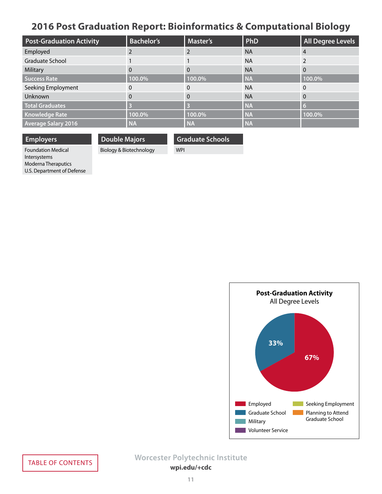# <span id="page-10-0"></span>**2016 Post Graduation Report: Bioinformatics & Computational Biology**

| <b>Post-Graduation Activity</b> | <b>Bachelor's</b> | <b>Master's</b> | PhD       | <b>All Degree Levels</b> |
|---------------------------------|-------------------|-----------------|-----------|--------------------------|
| Employed                        |                   |                 | <b>NA</b> | $\overline{4}$           |
| Graduate School                 |                   |                 | <b>NA</b> |                          |
| Military                        | $\Omega$          | 0               | <b>NA</b> | $\Omega$                 |
| <b>Success Rate</b>             | 100.0%            | 100.0%          | <b>NA</b> | 100.0%                   |
| Seeking Employment              | $\Omega$          | $\Omega$        | <b>NA</b> | $\Omega$                 |
| Unknown                         | $\Omega$          | 0               | <b>NA</b> | $\Omega$                 |
| <b>Total Graduates</b>          |                   |                 | <b>NA</b> | -6                       |
| <b>Knowledge Rate</b>           | 100.0%            | 100.0%          | <b>NA</b> | 100.0%                   |
| <b>Average Salary 2016</b>      | <b>NA</b>         | <b>NA</b>       | <b>NA</b> |                          |

### **Employers**

**Double Majors** Biology & Biotechnology **Graduate Schools**

WPI

Foundation Medical Intersystems Moderna Theraputics U.S. Department of Defense

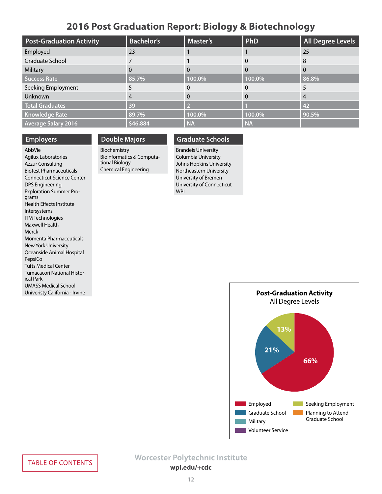## **2016 Post Graduation Report: Biology & Biotechnology**

<span id="page-11-0"></span>

| <b>Post-Graduation Activity</b> | <b>Bachelor's</b> | <b>Master's</b> | PhD       | <b>All Degree Levels</b> |
|---------------------------------|-------------------|-----------------|-----------|--------------------------|
| Employed                        | 23                |                 |           | 25                       |
| Graduate School                 |                   |                 | $\Omega$  | 8                        |
| Military                        | 0                 |                 | 0         | $\Omega$                 |
| Success Rate                    | 85.7%             | 100.0%          | 100.0%    | 86.8%                    |
| Seeking Employment              |                   |                 |           |                          |
| Unknown                         | $\overline{4}$    |                 | $\Omega$  | $\overline{4}$           |
| <b>Total Graduates</b>          | 39                |                 |           | 42                       |
| <b>Knowledge Rate</b>           | 89.7%             | 100.0%          | 100.0%    | 90.5%                    |
| <b>Average Salary 2016</b>      | \$46,884          | <b>NA</b>       | <b>NA</b> |                          |

### **Employers**

AbbVie Agilux Laboratories Azzur Consulting Biotest Pharmaceuticals Connecticut Science Center DPS Engineering Exploration Summer Programs Health Effects Institute Intersystems ITM Technologies Maxwell Health Merck Momenta Pharmaceuticals New York University Oceanside Animal Hospital PepsiCo Tufts Medical Center Tumacacori National Historical Park UMASS Medical School Univeristy California - Irvine

## **Double Majors**

Biochemistry Bioinformatics & Computational Biology Chemical Engineering

## **Graduate Schools**

Brandeis University Columbia University Johns Hopkins University Northeastern University University of Bremen University of Connecticut WPI

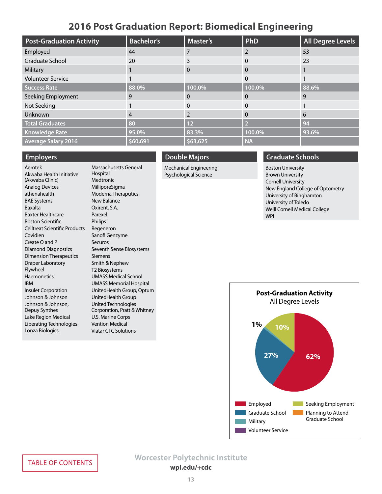## **2016 Post Graduation Report: Biomedical Engineering**

<span id="page-12-0"></span>

| <b>Post-Graduation Activity</b> | <b>Bachelor's</b> | <b>Master's</b> | PhD       | <b>All Degree Levels</b> |
|---------------------------------|-------------------|-----------------|-----------|--------------------------|
| Employed                        | 44                |                 | 2         | 53                       |
| <b>Graduate School</b>          | 20                | 3               | 0         | 23                       |
| Military                        |                   | 0               | 0         |                          |
| <b>Volunteer Service</b>        |                   |                 | 0         |                          |
| <b>Success Rate</b>             | 88.0%             | 100.0%          | 100.0%    | 88.6%                    |
| Seeking Employment              | 9                 | 0               | 0         | q                        |
| Not Seeking                     |                   | $\Omega$        | 0         |                          |
| Unknown                         | 4                 |                 | 0         | 6                        |
| <b>Total Graduates</b>          | 80                | 12              |           | 94                       |
| <b>Knowledge Rate</b>           | 95.0%             | 83.3%           | 100.0%    | 93.6%                    |
| <b>Average Salary 2016</b>      | \$60,691          | \$63,625        | <b>NA</b> |                          |

### **Employers**

Aerotek Akwaba Health Initiative (Akwaba Clinic) Analog Devices athenahealth BAE Systems Baxalta Baxter Healthcare Boston Scientific Celltreat Scientific Products Covidien Create O and P Diamond Diagnostics Dimension Therapeutics Draper Laboratory Flywheel Haemonetics IBM Insulet Corporation Johnson & Johnson Johnson & Johnson, Depuy Synthes Lake Region Medical Liberating Technologies Lonza Biologics Massachusetts General Hospital Viatar CTC Solutions

### **Medtronic** MilliporeSigma Moderna Theraputics New Balance Oxirent, S.A. Parexel Philips Regeneron Sanofi Genzyme Securos Seventh Sense Biosystems Siemens Smith & Nephew T2 Biosystems UMASS Medical School UMASS Memorial Hospital UnitedHealth Group, Optum UnitedHealth Group United Technologies Corporation, Pratt & Whitney U.S. Marine Corps Vention Medical

### **Double Majors**

Mechanical Engineering Psychological Science

### **Graduate Schools**

Boston University Brown University Cornell University New England College of Optometry University of Binghamton University of Toledo Weill Cornell Medical College WPI

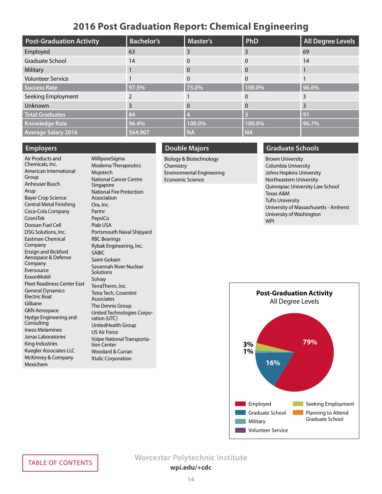## **2016 Post Graduation Report: Chemical Engineering**

<span id="page-13-0"></span>

| <b>Post-Graduation Activity</b> | <b>Bachelor's</b> | <b>Master's</b> | PhD       | <b>All Degree Levels</b> |
|---------------------------------|-------------------|-----------------|-----------|--------------------------|
| Employed                        | 63                | 3               | 3         | 69                       |
| <b>Graduate School</b>          | 14                | $\Omega$        | 0         | 14                       |
| Military                        |                   | $\Omega$        | 0         |                          |
| <b>Volunteer Service</b>        |                   | 0               | 0         |                          |
| <b>Success Rate</b>             | 97.5%             | 75.0%           | 100.0%    | 96.6%                    |
| Seeking Employment              |                   |                 | 0         |                          |
| Unknown                         |                   | $\Omega$        | 0         |                          |
| <b>Total Graduates</b>          | 84                |                 |           | 91                       |
| <b>Knowledge Rate</b>           | 96.4%             | 100.0%          | 100.0%    | 96.7%                    |
| <b>Average Salary 2016</b>      | \$64,907          | <b>NA</b>       | <b>NA</b> |                          |

### **Employers**

Air Products and Chemicals, Inc. American International Group Anheuser Busch Arup Bayer Crop Science Central Metal Finishing Coca-Cola Company CoorsTek Doosan Fuel Cell DSG Solutions, Inc. Eastman Chemical Company Ensign and Bickford Aerospace & Defense Company Eversource ExxonMobil Fleet Readiness Center East General Dynamics Electric Boat Gilbane GKN Aerospace Hydge Engineering and **Consulting** Ineos Melamines Jonas Laboratories King Industries Kuegler Associates LLC McKinney & Company Mexichem

MilliporeSigma Moderna Therapeutics Mojotech National Cancer Centre Singapore National Fire Protection Association Ora, Inc. Partnr PepsiCo Piab USA Portsmouth Naval Shipyard RBC Bearings Rybak Engineering, Inc. SABIC Saint-Gobain Savannah River Nuclear **Solutions** Solvay TerraTherm, Inc. Tetra Tech, Cosentini Associates The Dennis Group United Technologies Corporation (UTC) UnitedHealth Group US Air Force Volpe National Transportation Center Woodard & Curran Xtalic Corporation

### **Double Majors**

Biology & Biotechnology **Chemistry** Environmental Engineering Economic Science

### **Graduate Schools**

Brown University Columbia University Johns Hopkins University Northeastern University Quinnipiac University Law School Texas A&M Tufts University University of Massachusetts - Amherst University of Washington WPI

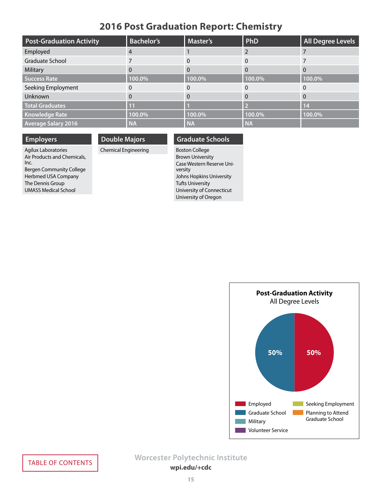## **2016 Post Graduation Report: Chemistry**

<span id="page-14-0"></span>

| <b>Post-Graduation Activity</b> | <b>Bachelor's</b> | <b>Master's</b> | PhD       | All Degree Levels |
|---------------------------------|-------------------|-----------------|-----------|-------------------|
| Employed                        | 4                 |                 |           |                   |
| Graduate School                 |                   |                 |           |                   |
| Military                        | $\Omega$          |                 |           | $\Omega$          |
| <b>Success Rate</b>             | 100.0%            | 100.0%          | 100.0%    | 100.0%            |
| Seeking Employment              | 0                 |                 |           | $\Omega$          |
| Unknown                         | 0                 |                 |           | $\Omega$          |
| <b>Total Graduates</b>          | $\overline{11}$   |                 |           | <b>14</b>         |
| <b>Knowledge Rate</b>           | 100.0%            | 100.0%          | 100.0%    | 100.0%            |
| <b>Average Salary 2016</b>      | <b>NA</b>         | <b>NA</b>       | <b>NA</b> |                   |

## **Employers**

**Double Majors**

## Chemical Engineering

Agilux Laboratories Air Products and Chemicals, Inc. Bergen Community College Herbmed USA Company The Dennis Group UMASS Medical School

Boston College Brown University Case Western Reserve University Johns Hopkins University Tufts University University of Connecticut University of Oregon

**Graduate Schools**

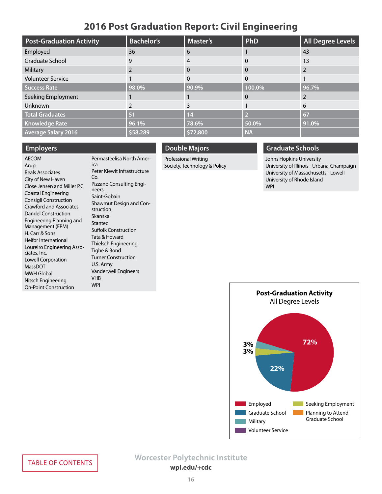## **2016 Post Graduation Report: Civil Engineering**

<span id="page-15-0"></span>

| <b>Post-Graduation Activity</b> | <b>Bachelor's</b> | <b>Master's</b> | PhD       | <b>All Degree Levels</b> |
|---------------------------------|-------------------|-----------------|-----------|--------------------------|
| Employed                        | 36                | 6               |           | 43                       |
| <b>Graduate School</b>          | 9                 | 4               | 0         | 13                       |
| Military                        |                   | $\Omega$        | 0         |                          |
| <b>Volunteer Service</b>        |                   |                 | 0         |                          |
| <b>Success Rate</b>             | 98.0%             | 90.9%           | 100.0%    | 96.7%                    |
| Seeking Employment              |                   |                 | 0         |                          |
| Unknown                         |                   | 3               |           | 6                        |
| <b>Total Graduates</b>          | 51                | 14              |           | 67                       |
| <b>Knowledge Rate</b>           | 96.1%             | 78.6%           | 50.0%     | 91.0%                    |
| <b>Average Salary 2016</b>      | \$58,289          | \$72,800        | <b>NA</b> |                          |

### **Employers**

Beals Associates

H. Carr & Sons

ciates, Inc.

MassDOT MWH Global

AECOM Arup

City of New Haven Close Jensen and Miller P.C. Coastal Engineering Consigli Construction Crawford and Associates Dandel Construction Engineering Planning and Management (EPM) Heifor International Loureiro Engineering Asso-Lowell Corporation Nitsch Engineering On-Point Construction Permasteelisa North America Peter Kiewit Infrastructure Co. Pizzano Consulting Engineers Saint-Gobain Shawmut Design and Construction Skanska Stantec Suffolk Construction Tata & Howard Thielsch Engineering Tighe & Bond Turner Construction U.S. Army Vanderweil Engineers VHB WPI

### **Double Majors**

Professional Writing Society, Technology & Policy

### **Graduate Schools**

Johns Hopkins University University of Illinois - Urbana-Champaign University of Massachusetts - Lowell University of Rhode Island WPI

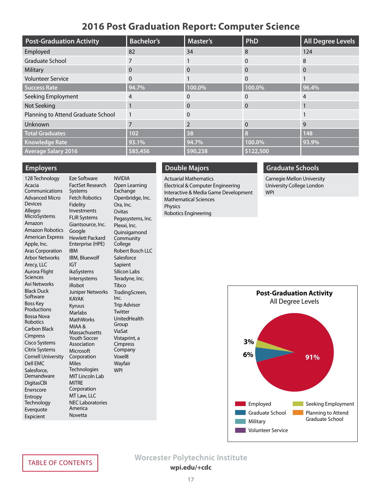## **2016 Post Graduation Report: Computer Science**

<span id="page-16-0"></span>

| <b>Post-Graduation Activity</b>    | <b>Bachelor's</b> | <b>Master's</b> | PhD          | <b>All Degree Levels</b> |
|------------------------------------|-------------------|-----------------|--------------|--------------------------|
| Employed                           | 82                | 34              | 8            | 124                      |
| <b>Graduate School</b>             |                   |                 | 0            | 8                        |
| Military                           | 0                 | 0               | $\Omega$     | 0                        |
| <b>Volunteer Service</b>           | 0                 |                 | $\mathbf{0}$ |                          |
| Success Rate                       | 94.7%             | 100.0%          | 100.0%       | 96.4%                    |
| Seeking Employment                 | 4                 | 0               | 0            | 4                        |
| Not Seeking                        |                   | 0               | $\Omega$     |                          |
| Planning to Attend Graduate School |                   | 0               |              |                          |
| Unknown                            |                   | $\overline{2}$  | $\mathbf{0}$ | 9                        |
| <b>Total Graduates</b>             | 102               | 38              | $\bf{8}$     | 148                      |
| <b>Knowledge Rate</b>              | 93.1%             | 94.7%           | 100.0%       | 93.9%                    |
| <b>Average Salary 2016</b>         | \$85,456          | \$90,238        | \$122,500    |                          |

### **Employers**

128 Technology Acacia Communications Advanced Micro Devices Allegro **MicroSystems** Amazon Amazon Robotics American Express Apple, Inc. Aras Corporation Arbor Networks Arecy, LLC Aurora Flight **Sciences** Avi Networks Black Duck **Software** Boss Key Productions Bossa Nova Robotics Carbon Black Cimpress Cisco Systems Citrix Systems Cornell University Dell EMC Salesforce, Demandware DigitasCBi Enerscore Entropy Technology Everquote Expicient

IBM

IGT

Miles

Eze Software FactSet Research Systems Fetch Robotics Fidelity Investments FLIR Systems Giantsource, Inc. Google Hewlett Packard Enterprise (HPE) IBM, Bluewolf ikaSystems Intersystems iRobot Juniper Networks KAYAK Kyruus Marlabs MathWorks MIAA & Massachusetts Youth Soccer Association Microsoft Corporation **Technologies** MIT Lincoln Lab **MITRE** Corporation MT Law, LLC NEC Laboratories America Novetta NVIDIA Open Learning Exchange Openbridge, Inc. Ora, Inc. Ovitas Pegasystems, Inc. Plexxi, Inc. Quinsigamond Community College Robert Bosch LLC **Salesforce** Sapient Silicon Labs Teradyne, Inc. **Tibco** TradingScreen, Inc. Trip Advisor **Twitter** UnitedHealth Group ViaSat Vistaprint, a **Cimpress** Company Voxel8 Wayfair WPI

## **Double Majors**

Actuarial Mathematics Electrical & Computer Engineering Interactive & Media Game Development Mathematical Sciences Physics Robotics Engineering

## **Graduate Schools**

Carnegie Mellon University University College London WPI

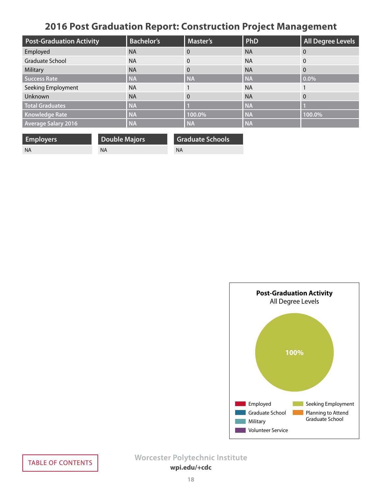# **2016 Post Graduation Report: Construction Project Management**

<span id="page-17-0"></span>

| <b>Post-Graduation Activity</b> | <b>Bachelor's</b> | <b>Master's</b> | PhD       | <b>All Degree Levels</b> |
|---------------------------------|-------------------|-----------------|-----------|--------------------------|
| Employed                        | <b>NA</b>         | 0               | <b>NA</b> | 0                        |
| Graduate School                 | <b>NA</b>         | $\Omega$        | <b>NA</b> | $\Omega$                 |
| Military                        | <b>NA</b>         | $\overline{0}$  | <b>NA</b> | $\Omega$                 |
| <b>Success Rate</b>             | <b>NA</b>         | <b>NA</b>       | <b>NA</b> | $0.0\%$                  |
| Seeking Employment              | <b>NA</b>         |                 | <b>NA</b> |                          |
| Unknown                         | <b>NA</b>         | $\Omega$        | <b>NA</b> | 0                        |
| <b>Total Graduates</b>          | <b>NA</b>         |                 | <b>NA</b> |                          |
| <b>Knowledge Rate</b>           | <b>NA</b>         | 100.0%          | <b>NA</b> | 100.0%                   |
| <b>Average Salary 2016</b>      | <b>NA</b>         | <b>NA</b>       | <b>NA</b> |                          |

| <b>Employers</b> | Double Majors | Graduate Schools |
|------------------|---------------|------------------|
| - NA             | ΝA            | <b>NA</b>        |

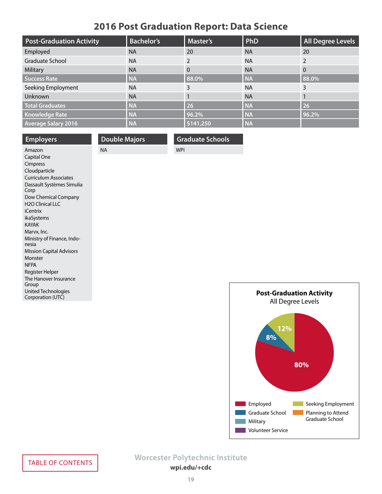# **2016 Post Graduation Report: Data Science**

<span id="page-18-0"></span>

| <b>Post-Graduation Activity</b> | <b>Bachelor's</b> | <b>Master's</b> | PhD       | <b>All Degree Levels</b> |
|---------------------------------|-------------------|-----------------|-----------|--------------------------|
| Employed                        | <b>NA</b>         | 20              | <b>NA</b> | 20                       |
| <b>Graduate School</b>          | <b>NA</b>         | 2               | <b>NA</b> | $\mathcal{P}$            |
| Military                        | <b>NA</b>         | $\Omega$        | <b>NA</b> | $\Omega$                 |
| <b>Success Rate</b>             | <b>NA</b>         | 88.0%           | <b>NA</b> | 88.0%                    |
| Seeking Employment              | <b>NA</b>         | 3               | <b>NA</b> | 3                        |
| Unknown                         | <b>NA</b>         |                 | <b>NA</b> |                          |
| <b>Total Graduates</b>          | <b>NA</b>         | 26              | <b>NA</b> | 26                       |
| <b>Knowledge Rate</b>           | <b>NA</b>         | 96.2%           | <b>NA</b> | 96.2%                    |
| <b>Average Salary 2016</b>      | <b>NA</b>         | \$141,250       | <b>NA</b> |                          |

| <b>Employers</b>                           | <b>Double Majors</b> | <b>Graduate Schools</b> |                   |
|--------------------------------------------|----------------------|-------------------------|-------------------|
| Amazon                                     | <b>NA</b>            | <b>WPI</b>              |                   |
| Capital One                                |                      |                         |                   |
| Cimpress                                   |                      |                         |                   |
| Cloudparticle                              |                      |                         |                   |
| <b>Curriculum Associates</b>               |                      |                         |                   |
| Dassault Systèmes Simulia<br>Corp          |                      |                         |                   |
| Dow Chemical Company                       |                      |                         |                   |
| H <sub>2</sub> O Clinical LLC              |                      |                         |                   |
| <i>i</i> Centrix                           |                      |                         |                   |
| ikaSystems                                 |                      |                         |                   |
| <b>KAYAK</b>                               |                      |                         |                   |
| Marvx, Inc.                                |                      |                         |                   |
| Ministry of Finance, Indo-                 |                      |                         |                   |
| nesia                                      |                      |                         |                   |
| <b>Mission Capital Advisors</b><br>Monster |                      |                         |                   |
| <b>NFPA</b>                                |                      |                         |                   |
| Register Helper                            |                      |                         |                   |
| The Hanover Insurance<br>Group             |                      |                         |                   |
| United Technologies<br>Corporation (UTC)   |                      |                         | <b>Post-Gradu</b> |
|                                            |                      |                         | All Deg           |

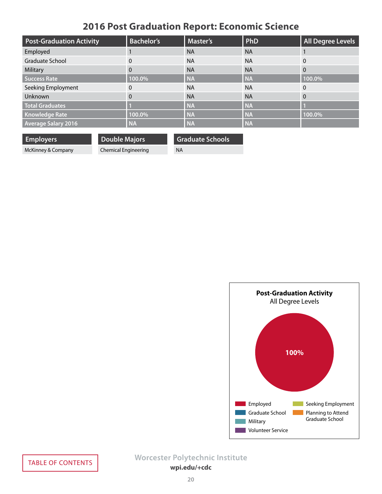# **2016 Post Graduation Report: Economic Science**

<span id="page-19-0"></span>

| <b>Post-Graduation Activity</b> | <b>Bachelor's</b> | <b>Master's</b> | PhD       | <b>All Degree Levels</b> |
|---------------------------------|-------------------|-----------------|-----------|--------------------------|
| Employed                        |                   | <b>NA</b>       | <b>NA</b> |                          |
| Graduate School                 | 0                 | <b>NA</b>       | <b>NA</b> | $\mathbf{0}$             |
| Military                        | $\Omega$          | <b>NA</b>       | <b>NA</b> | $\overline{0}$           |
| Success Rate                    | 100.0%            | <b>NA</b>       | <b>NA</b> | 100.0%                   |
| Seeking Employment              | 0                 | <b>NA</b>       | <b>NA</b> | $\Omega$                 |
| Unknown                         | $\Omega$          | <b>NA</b>       | <b>NA</b> | 0                        |
| <b>Total Graduates</b>          |                   | <b>NA</b>       | <b>NA</b> |                          |
| <b>Knowledge Rate</b>           | 100.0%            | <b>NA</b>       | <b>NA</b> | 100.0%                   |
| <b>Average Salary 2016</b>      | <b>NA</b>         | <b>NA</b>       | <b>NA</b> |                          |

| <b>Employers</b>   | Double Majors        | <b>Graduate Schools</b> |
|--------------------|----------------------|-------------------------|
| McKinney & Company | Chemical Engineering | NA                      |

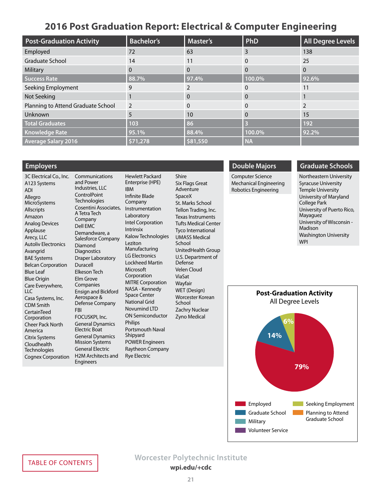## **2016 Post Graduation Report: Electrical & Computer Engineering**

<span id="page-20-0"></span>

| <b>Post-Graduation Activity</b>    | <b>Bachelor's</b> | <b>Master's</b> | <b>PhD</b> | <b>All Degree Levels</b> |
|------------------------------------|-------------------|-----------------|------------|--------------------------|
| Employed                           | 72                | 63              | 3          | 138                      |
| <b>Graduate School</b>             | 14                | 11              | 0          | 25                       |
| Military                           | $\Omega$          | 0               | 0          | $\Omega$                 |
| <b>Success Rate</b>                | 88.7%             | 97.4%           | 100.0%     | 92.6%                    |
| Seeking Employment                 | 9                 |                 | 0          | 11                       |
| Not Seeking                        |                   | $\Omega$        | 0          |                          |
| Planning to Attend Graduate School | 2                 | 0               | 0          |                          |
| Unknown                            | 5                 | 10              | 0          | 15                       |
| <b>Total Graduates</b>             | 103               | 86 <sub>l</sub> |            | 192                      |
| <b>Knowledge Rate</b>              | 95.1%             | 88.4%           | 100.0%     | 92.2%                    |
| <b>Average Salary 2016</b>         | \$71,278          | \$81,550        | <b>NA</b>  |                          |

### **Employers**

3C Electrical Co., Inc. A123 Systems ADI Allegro MicroSystems Allscripts Amazon Analog Devices Applause Arecy, LLC Autoliv Electronics Avangrid BAE Systems Belcan Corporation Blue Leaf Blue Origin Care Everywhere, LLC Casa Systems, Inc. CDM Smith **CertainTeed Corporation** Cheer Pack North America Citrix Systems Cloudhealth **Technologies** Cognex Corporation

Communications and Power Industries, LLC **ControlPoint Technologies** Cosentini Associates, A Tetra Tech Company Dell EMC Demandware, a Salesforce Company Diamond **Diagnostics** Draper Laboratory Duracell Elkeson Tech Elm Grove Companies Ensign and Bickford Aerospace & Defense Company FBI FOCUSKPI, Inc. General Dynamics Electric Boat General Dynamics Mission Systems General Electric H2M Architects and Engineers

Hewlett Packard Enterprise (HPE) IBM Infinite Blade Company Instrumentation Laboratory Intel Corporation Intrinsix Kalow Technologies Leziton Manufacturing LG Electronics Lockheed Martin Microsoft Corporation MITRE Corporation NASA - Kennedy Space Center National Grid Novumind LTD ON Semiconductor Philips Portsmouth Naval Shipyard POWER Engineers Raytheon Company Rye Electric

Shire Six Flags Great Adventure SpaceX St. Marks School Tellon Trading, Inc. Texas Instruments Tufts Medical Center Tyco International UMASS Medical School UnitedHealth Group U.S. Department of Defense Velen Cloud ViaSat **Wavfair** WET (Design) Worcester Korean School Zachry Nuclear Zyno Medical

### **Double Majors**

Computer Science Mechanical Engineering Robotics Engineering

## **Graduate Schools**

Northeastern University Syracuse University Temple University University of Maryland College Park University of Puerto Rico, Mayaguez University of Wisconsin - Madison Washington University WPI

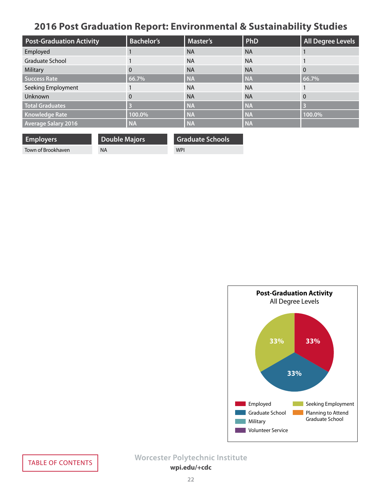# <span id="page-21-0"></span>**2016 Post Graduation Report: Environmental & Sustainability Studies**

| <b>Post-Graduation Activity</b> | <b>Bachelor's</b> | <b>Master's</b> | PhD       | <b>All Degree Levels</b> |
|---------------------------------|-------------------|-----------------|-----------|--------------------------|
| Employed                        |                   | <b>NA</b>       | <b>NA</b> |                          |
| Graduate School                 |                   | <b>NA</b>       | <b>NA</b> |                          |
| Military                        | $\Omega$          | <b>NA</b>       | <b>NA</b> | $\overline{0}$           |
| Success Rate                    | 66.7%             | <b>NA</b>       | <b>NA</b> | 66.7%                    |
| Seeking Employment              |                   | <b>NA</b>       | <b>NA</b> |                          |
| Unknown                         | 0                 | <b>NA</b>       | <b>NA</b> | 0                        |
| <b>Total Graduates</b>          |                   | <b>NA</b>       | <b>NA</b> | B                        |
| Knowledge Rate                  | 100.0%            | <b>NA</b>       | <b>NA</b> | 100.0%                   |
| <b>Average Salary 2016</b>      | <b>NA</b>         | <b>NA</b>       | <b>NA</b> |                          |

| <b>Employers</b>   | <b>Double Majors</b> | <b>Graduate Schools</b> |
|--------------------|----------------------|-------------------------|
| Town of Brookhaven | ΝA                   | <b>WPI</b>              |

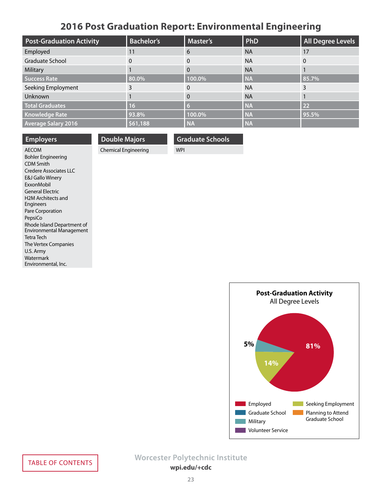# **2016 Post Graduation Report: Environmental Engineering**

<span id="page-22-0"></span>

| <b>Post-Graduation Activity</b> | <b>Bachelor's</b> | <b>Master's</b> | PhD       | All Degree Levels |
|---------------------------------|-------------------|-----------------|-----------|-------------------|
| Employed                        | 11                | 6               | <b>NA</b> | 17                |
| Graduate School                 | $\Omega$          | 0               | <b>NA</b> | 0                 |
| Military                        |                   | 0               | <b>NA</b> |                   |
| <b>Success Rate</b>             | 80.0%             | 100.0%          | <b>NA</b> | 85.7%             |
| Seeking Employment              | 3                 | $\Omega$        | <b>NA</b> |                   |
| Unknown                         |                   | $\Omega$        | <b>NA</b> |                   |
| <b>Total Graduates</b>          | 16                | 6               | <b>NA</b> | 22                |
| <b>Knowledge Rate</b>           | 93.8%             | 100.0%          | <b>NA</b> | 95.5%             |
| <b>Average Salary 2016</b>      | \$61,188          | <b>NA</b>       | <b>NA</b> |                   |

| <b>Employers</b>                    | <b>Double Majors</b> | <b>Graduate Schools</b> |
|-------------------------------------|----------------------|-------------------------|
| <b>AFCOM</b>                        | Chemical Engineering | <b>WPI</b>              |
| <b>Bohler Engineering</b><br>------ |                      |                         |

CDM Smith Credere Associates LLC E&J Gallo Winery ExxonMobil General Electric H2M Architects and Engineers Pare Corporation PepsiCo Rhode Island Department of Environmental Management Tetra Tech The Vertex Companies U.S. Army Watermark Environmental, Inc.

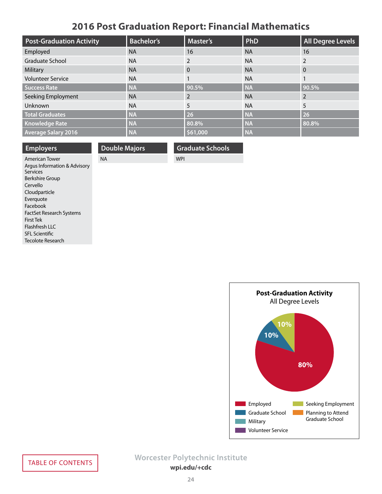# **2016 Post Graduation Report: Financial Mathematics**

<span id="page-23-0"></span>

| <b>Post-Graduation Activity</b> | <b>Bachelor's</b> | <b>Master's</b> | PhD       | <b>All Degree Levels</b> |
|---------------------------------|-------------------|-----------------|-----------|--------------------------|
| Employed                        | <b>NA</b>         | 16              | <b>NA</b> | 16                       |
| Graduate School                 | <b>NA</b>         | $\mathcal{P}$   | <b>NA</b> | $\mathcal{P}$            |
| Military                        | <b>NA</b>         | $\mathbf{0}$    | <b>NA</b> | $\overline{0}$           |
| <b>Volunteer Service</b>        | <b>NA</b>         |                 | <b>NA</b> |                          |
| <b>Success Rate</b>             | <b>NA</b>         | 90.5%           | <b>NA</b> | 90.5%                    |
| Seeking Employment              | <b>NA</b>         | $\mathcal{P}$   | <b>NA</b> |                          |
| Unknown                         | <b>NA</b>         | 5               | <b>NA</b> | 5                        |
| <b>Total Graduates</b>          | <b>NA</b>         | 26              | <b>NA</b> | 26                       |
| <b>Knowledge Rate</b>           | <b>NA</b>         | 80.8%           | <b>NA</b> | 80.8%                    |
| <b>Average Salary 2016</b>      | <b>NA</b>         | \$61,000        | <b>NA</b> |                          |

| <b>Employers</b>                                | <b>Double Majors</b> | <b>Graduate Schools</b> |
|-------------------------------------------------|----------------------|-------------------------|
| <b>American Tower</b>                           | <b>NA</b>            | <b>WPI</b>              |
| Argus Information & Advisory<br><b>Services</b> |                      |                         |
| Berkshire Group                                 |                      |                         |
| Cervello                                        |                      |                         |
| Cloudparticle                                   |                      |                         |
| Everguote                                       |                      |                         |
| Facebook                                        |                      |                         |
| <b>FactSet Research Systems</b>                 |                      |                         |
| First Tek                                       |                      |                         |
| Flashfresh LLC                                  |                      |                         |
| <b>SFL Scientific</b>                           |                      |                         |



Tecolote Research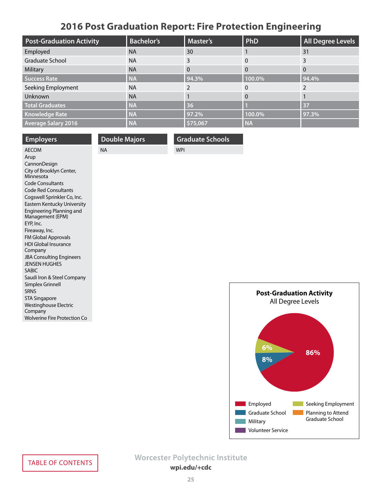# **2016 Post Graduation Report: Fire Protection Engineering**

<span id="page-24-0"></span>

| <b>Post-Graduation Activity</b> | <b>Bachelor's</b> | <b>Master's</b> | PhD       | <b>All Degree Levels</b> |
|---------------------------------|-------------------|-----------------|-----------|--------------------------|
| Employed                        | <b>NA</b>         | 30              |           | 31                       |
| Graduate School                 | <b>NA</b>         | 3               | $\Omega$  | 3                        |
| Military                        | <b>NA</b>         | 0               | $\Omega$  | $\Omega$                 |
| <b>Success Rate</b>             | <b>NA</b>         | 94.3%           | 100.0%    | 94.4%                    |
| Seeking Employment              | <b>NA</b>         |                 | $\Omega$  |                          |
| Unknown                         | <b>NA</b>         |                 | $\Omega$  |                          |
| <b>Total Graduates</b>          | <b>NA</b>         | 36              |           | 37                       |
| <b>Knowledge Rate</b>           | <b>NA</b>         | 97.2%           | 100.0%    | 97.3%                    |
| <b>Average Salary 2016</b>      | <b>NA</b>         | \$75,067        | <b>NA</b> |                          |

| <b>Employers</b>                                    | <b>Double Majors</b> | <b>Graduate Schools</b> |          |
|-----------------------------------------------------|----------------------|-------------------------|----------|
| <b>AECOM</b>                                        | <b>NA</b>            | <b>WPI</b>              |          |
| Arup                                                |                      |                         |          |
| CannonDesign                                        |                      |                         |          |
| City of Brooklyn Center,<br>Minnesota               |                      |                         |          |
| <b>Code Consultants</b>                             |                      |                         |          |
| <b>Code Red Consultants</b>                         |                      |                         |          |
| Cogswell Sprinkler Co, Inc.                         |                      |                         |          |
| Eastern Kentucky University                         |                      |                         |          |
| <b>Engineering Planning and</b><br>Management (EPM) |                      |                         |          |
| EYP, Inc.                                           |                      |                         |          |
| Fireaway, Inc.                                      |                      |                         |          |
| FM Global Approvals                                 |                      |                         |          |
| <b>HDI Global Insurance</b><br>Company              |                      |                         |          |
| <b>JBA Consulting Engineers</b>                     |                      |                         |          |
| <b>JENSEN HUGHES</b>                                |                      |                         |          |
| <b>SABIC</b>                                        |                      |                         |          |
| Saudi Iron & Steel Company                          |                      |                         |          |
| Simplex Grinnell                                    |                      |                         |          |
| <b>SRNS</b>                                         |                      |                         | Post-Gra |
| <b>STA Singapore</b>                                |                      |                         | All D    |
| <b>Westinghouse Electric</b><br>Company             |                      |                         |          |
| <b>Wolverine Fire Protection Co</b>                 |                      |                         |          |
|                                                     |                      |                         |          |

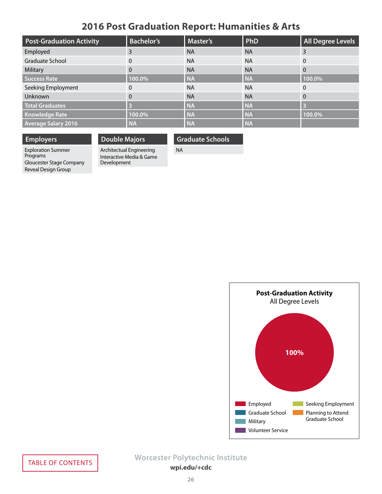# **2016 Post Graduation Report: Humanities & Arts**

<span id="page-25-0"></span>

| <b>Post-Graduation Activity</b> | <b>Bachelor's</b> | <b>Master's</b> | PhD       | <b>All Degree Levels</b> |
|---------------------------------|-------------------|-----------------|-----------|--------------------------|
| Employed                        | 3                 | <b>NA</b>       | <b>NA</b> | 3                        |
| Graduate School                 | 0                 | <b>NA</b>       | <b>NA</b> | $\overline{0}$           |
| Military                        | $\Omega$          | <b>NA</b>       | <b>NA</b> | $\overline{0}$           |
| Success Rate                    | 100.0%            | <b>NA</b>       | <b>NA</b> | 100.0%                   |
| Seeking Employment              | 0                 | <b>NA</b>       | <b>NA</b> | $\Omega$                 |
| Unknown                         | $\Omega$          | <b>NA</b>       | <b>NA</b> | $\overline{0}$           |
| <b>Total Graduates</b>          |                   | <b>NA</b>       | <b>NA</b> | E                        |
| <b>Knowledge Rate</b>           | 100.0%            | <b>NA</b>       | <b>NA</b> | 100.0%                   |
| <b>Average Salary 2016</b>      | <b>NA</b>         | <b>NA</b>       | <b>NA</b> |                          |

## **Employers**

Exploration Summer Programs Gloucester Stage Company Reveal Design Group

## **Double Majors**

Development

Interactive Media & Game

Architectual Engineering **Graduate Schools** NA

# **Post-Graduation Activity** All Degree Levels Employed Graduate School Military **Volunteer Service 100%** Seeking Employment Planning to Attend Graduate School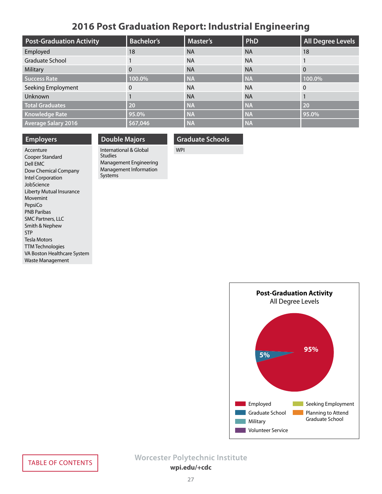## **2016 Post Graduation Report: Industrial Engineering**

<span id="page-26-0"></span>

| <b>Post-Graduation Activity</b> | <b>Bachelor's</b> | <b>Master's</b> | PhD       | <b>All Degree Levels</b> |
|---------------------------------|-------------------|-----------------|-----------|--------------------------|
| Employed                        | 18                | <b>NA</b>       | <b>NA</b> | 18                       |
| Graduate School                 |                   | <b>NA</b>       | <b>NA</b> |                          |
| Military                        | 0                 | <b>NA</b>       | <b>NA</b> | $\overline{0}$           |
| <b>Success Rate</b>             | 100.0%            | <b>NA</b>       | <b>NA</b> | 100.0%                   |
| Seeking Employment              | 0                 | <b>NA</b>       | <b>NA</b> | $\mathbf{0}$             |
| <b>Unknown</b>                  |                   | <b>NA</b>       | <b>NA</b> |                          |
| <b>Total Graduates</b>          | 20                | <b>NA</b>       | <b>NA</b> | 20                       |
| <b>Knowledge Rate</b>           | 95.0%             | <b>NA</b>       | <b>NA</b> | 95.0%                    |
| <b>Average Salary 2016</b>      | \$67,046          | <b>NA</b>       | <b>NA</b> |                          |

### **Employers**

Accenture Cooper Standard Dell EMC Dow Chemical Company Intel Corporation JobScience Liberty Mutual Insurance Movemint PepsiCo PNB Paribas SMC Partners, LLC Smith & Nephew STP Tesla Motors TTM Technologies VA Boston Healthcare System Waste Management

## **Double Majors**

International & Global Studies Management Engineering Management Information Systems

### **Graduate Schools**

WPI

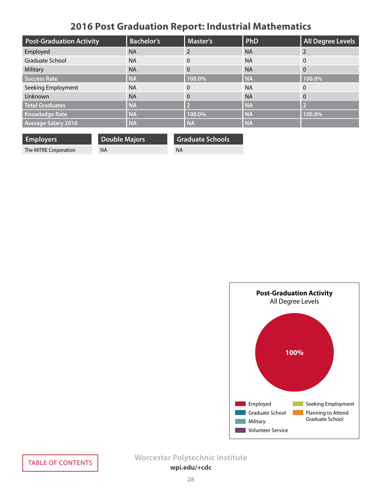# **2016 Post Graduation Report: Industrial Mathematics**

<span id="page-27-0"></span>

| <b>Post-Graduation Activity</b> | <b>Bachelor's</b> | Master's  | PhD       | <b>All Degree Levels</b> |
|---------------------------------|-------------------|-----------|-----------|--------------------------|
| Employed                        | <b>NA</b>         |           | <b>NA</b> |                          |
| Graduate School                 | <b>NA</b>         | $\Omega$  | <b>NA</b> | $\mathbf{0}$             |
| Military                        | <b>NA</b>         | $\Omega$  | <b>NA</b> | $\overline{0}$           |
| <b>Success Rate</b>             | <b>NA</b>         | 100.0%    | <b>NA</b> | 100.0%                   |
| Seeking Employment              | <b>NA</b>         | $\Omega$  | <b>NA</b> | $\Omega$                 |
| Unknown                         | <b>NA</b>         | $\Omega$  | <b>NA</b> | $\overline{0}$           |
| <b>Total Graduates</b>          | <b>NA</b>         |           | <b>NA</b> | D                        |
| <b>Knowledge Rate</b>           | <b>NA</b>         | 100.0%    | <b>NA</b> | 100.0%                   |
| <b>Average Salary 2016</b>      | <b>NA</b>         | <b>NA</b> | <b>NA</b> |                          |

| <b>Employers</b>      | <b>Double Majors</b> | <b>Graduate Schools</b> |
|-----------------------|----------------------|-------------------------|
| The MITRE Corporation | <b>NA</b>            | ΝA                      |

**Post-Graduation Activity** All Degree Levels **100%** Employed Seeking Employment Graduate School **Planning to Attend** Graduate School $\sim 10$ Military **Volunteer Service**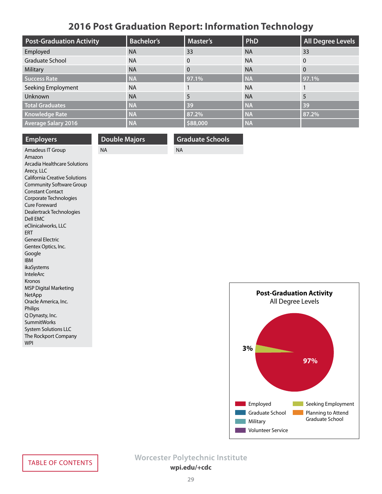# **2016 Post Graduation Report: Information Technology**

<span id="page-28-0"></span>

| <b>Post-Graduation Activity</b> | <b>Bachelor's</b> | <b>Master's</b> | PhD       | <b>All Degree Levels</b> |
|---------------------------------|-------------------|-----------------|-----------|--------------------------|
| Employed                        | <b>NA</b>         | 33              | <b>NA</b> | 33                       |
| Graduate School                 | <b>NA</b>         | $\Omega$        | <b>NA</b> | $\overline{0}$           |
| Military                        | <b>NA</b>         | $\Omega$        | <b>NA</b> | $\overline{0}$           |
| Success Rate                    | <b>NA</b>         | 97.1%           | <b>NA</b> | 97.1%                    |
| Seeking Employment              | <b>NA</b>         |                 | <b>NA</b> |                          |
| Unknown                         | <b>NA</b>         | 5               | <b>NA</b> | 5                        |
| <b>Total Graduates</b>          | <b>NA</b>         | 39              | <b>NA</b> | 39                       |
| <b>Knowledge Rate</b>           | <b>NA</b>         | 87.2%           | <b>NA</b> | 87.2%                    |
| <b>Average Salary 2016</b>      | <b>NA</b>         | \$88,000        | <b>NA</b> |                          |

NA

**Graduate Schools**

| <b>NA</b><br>Amadeus IT Group<br>Amazon<br>Arcadia Healthcare Solutions<br>Arecy, LLC<br><b>California Creative Solutions</b><br><b>Community Software Group</b> |
|------------------------------------------------------------------------------------------------------------------------------------------------------------------|
|                                                                                                                                                                  |
|                                                                                                                                                                  |
|                                                                                                                                                                  |
|                                                                                                                                                                  |
|                                                                                                                                                                  |
|                                                                                                                                                                  |
| <b>Constant Contact</b>                                                                                                                                          |
| Corporate Technologies                                                                                                                                           |
| Cure Foreward                                                                                                                                                    |
| Dealertrack Technologies                                                                                                                                         |
| Dell EMC                                                                                                                                                         |
| eClinicalworks, LLC                                                                                                                                              |
| <b>ERT</b>                                                                                                                                                       |
| <b>General Electric</b>                                                                                                                                          |
| Gentex Optics, Inc.                                                                                                                                              |
| Google                                                                                                                                                           |
| <b>IBM</b>                                                                                                                                                       |
| ikaSystems                                                                                                                                                       |
| InteleArc                                                                                                                                                        |
| Kronos                                                                                                                                                           |
| <b>MSP Digital Marketing</b>                                                                                                                                     |
| NetApp                                                                                                                                                           |
| Oracle America, Inc.                                                                                                                                             |
| <b>Philips</b>                                                                                                                                                   |
| Q Dynasty, Inc.                                                                                                                                                  |
| <b>SummitWorks</b>                                                                                                                                               |
| <b>System Solutions LLC</b>                                                                                                                                      |
| The Rockport Company                                                                                                                                             |
| <b>WPI</b>                                                                                                                                                       |

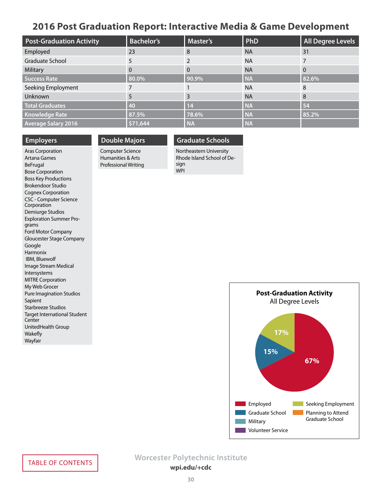## <span id="page-29-0"></span>**2016 Post Graduation Report: Interactive Media & Game Development**

| <b>Post-Graduation Activity</b> | <b>Bachelor's</b> | <b>Master's</b> | PhD       | <b>All Degree Levels</b> |
|---------------------------------|-------------------|-----------------|-----------|--------------------------|
| Employed                        | 23                | 8               | <b>NA</b> | 31                       |
| Graduate School                 | 5                 |                 | <b>NA</b> |                          |
| Military                        | $\Omega$          | $\Omega$        | <b>NA</b> | $\Omega$                 |
| Success Rate                    | 80.0%             | 90.9%           | <b>NA</b> | 82.6%                    |
| Seeking Employment              |                   |                 | <b>NA</b> | 8                        |
| Unknown                         | 5                 | 3               | <b>NA</b> | 8                        |
| <b>Total Graduates</b>          | 40                | 14              | <b>NA</b> | 54                       |
| <b>Knowledge Rate</b>           | 87.5%             | 78.6%           | <b>NA</b> | 85.2%                    |
| <b>Average Salary 2016</b>      | \$71,644          | <b>NA</b>       | <b>NA</b> |                          |

### **Employers**

**Double Majors**

### Aras Corporation Artana Games BeFrugal Bose Corporation Boss Key Productions Brokendoor Studio Cognex Corporation CSC - Computer Science Corporation Demiurge Studios Exploration Summer Programs Ford Motor Company Gloucester Stage Company Google Harmonix IBM, Bluewolf Image Stream Medical Intersystems MITRE Corporation My Web Grocer Pure Imagination Studios Sapient Starbreeze Studios Target International Student **Center** UnitedHealth Group Wakefly Wayfair

## Computer Science Humanities & Arts Professional Writing

# **Graduate Schools**

Northeastern University Rhode Island School of Design WPI

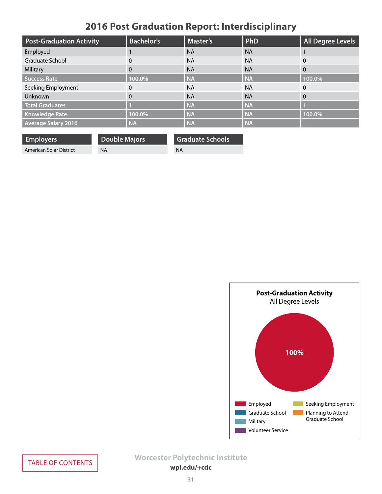# **2016 Post Graduation Report: Interdisciplinary**

<span id="page-30-0"></span>

| <b>Post-Graduation Activity</b> | <b>Bachelor's</b> | <b>Master's</b> | PhD       | <b>All Degree Levels</b> |
|---------------------------------|-------------------|-----------------|-----------|--------------------------|
| Employed                        |                   | <b>NA</b>       | <b>NA</b> |                          |
| Graduate School                 | 0                 | <b>NA</b>       | <b>NA</b> | $\mathbf{0}$             |
| Military                        | $\Omega$          | <b>NA</b>       | <b>NA</b> | $\overline{0}$           |
| Success Rate                    | 100.0%            | <b>NA</b>       | <b>NA</b> | 100.0%                   |
| Seeking Employment              | 0                 | <b>NA</b>       | <b>NA</b> | $\Omega$                 |
| Unknown                         | $\Omega$          | <b>NA</b>       | <b>NA</b> | 0                        |
| <b>Total Graduates</b>          |                   | <b>NA</b>       | <b>NA</b> |                          |
| <b>Knowledge Rate</b>           | 100.0%            | <b>NA</b>       | <b>NA</b> | 100.0%                   |
| <b>Average Salary 2016</b>      | <b>NA</b>         | <b>NA</b>       | <b>NA</b> |                          |

| <b>Employers</b>        | <b>Double Majors</b> | <b>Graduate Schools</b> |
|-------------------------|----------------------|-------------------------|
| American Solar District | <b>NA</b>            | <b>NA</b>               |

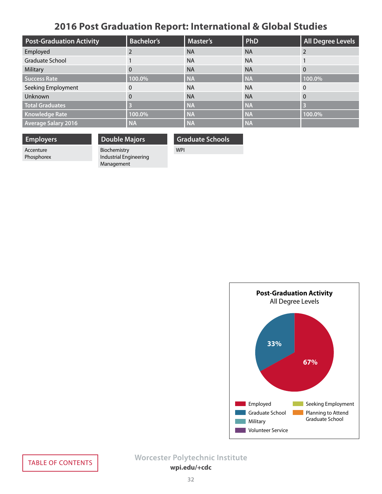# **2016 Post Graduation Report: International & Global Studies**

<span id="page-31-0"></span>

| <b>Post-Graduation Activity</b> | <b>Bachelor's</b> | <b>Master's</b> | PhD       | <b>All Degree Levels</b> |
|---------------------------------|-------------------|-----------------|-----------|--------------------------|
| Employed                        |                   | <b>NA</b>       | <b>NA</b> |                          |
| Graduate School                 |                   | <b>NA</b>       | <b>NA</b> |                          |
| Military                        | $\Omega$          | <b>NA</b>       | <b>NA</b> | $\Omega$                 |
| <b>Success Rate</b>             | 100.0%            | <b>NA</b>       | <b>NA</b> | 100.0%                   |
| Seeking Employment              | 0                 | <b>NA</b>       | <b>NA</b> | $\Omega$                 |
| Unknown                         | $\Omega$          | <b>NA</b>       | <b>NA</b> | $\Omega$                 |
| <b>Total Graduates</b>          |                   | <b>NA</b>       | <b>NA</b> | B                        |
| <b>Knowledge Rate</b>           | 100.0%            | <b>NA</b>       | <b>NA</b> | 100.0%                   |
| <b>Average Salary 2016</b>      | <b>NA</b>         | <b>NA</b>       | <b>NA</b> |                          |

| <b>Employers</b> |
|------------------|
| Accenture        |
| Phosphorex       |

**Double Majors** Biochemistry Industrial Engineering Management

**Graduate Schools**

WPI

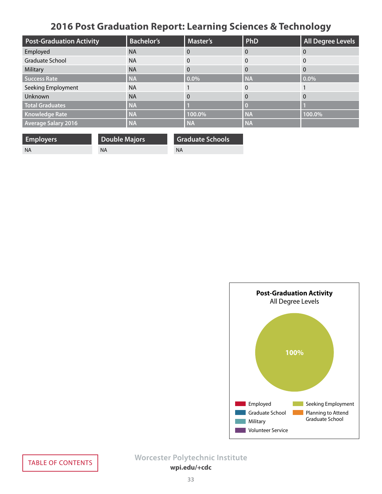# **2016 Post Graduation Report: Learning Sciences & Technology**

<span id="page-32-0"></span>

| <b>Post-Graduation Activity</b> | <b>Bachelor's</b> | <b>Master's</b> | PhD       | <b>All Degree Levels</b> |
|---------------------------------|-------------------|-----------------|-----------|--------------------------|
| Employed                        | <b>NA</b>         | 0               | $\Omega$  | $\Omega$                 |
| Graduate School                 | <b>NA</b>         | 0               | $\Omega$  | 0                        |
| Military                        | <b>NA</b>         | 0               | $\Omega$  | $\Omega$                 |
| Success Rate                    | <b>NA</b>         | 0.0%            | <b>NA</b> | 0.0%                     |
| Seeking Employment              | <b>NA</b>         |                 | $\Omega$  |                          |
| Unknown                         | <b>NA</b>         | $\Omega$        | $\Omega$  | $\Omega$                 |
| <b>Total Graduates</b>          | <b>NA</b>         |                 |           |                          |
| <b>Knowledge Rate</b>           | <b>NA</b>         | 100.0%          | <b>NA</b> | 100.0%                   |
| <b>Average Salary 2016</b>      | <b>NA</b>         | <b>NA</b>       | <b>NA</b> |                          |

| <b>Employers</b> | <b>Double Majors</b> | <b>Graduate Schools</b> |
|------------------|----------------------|-------------------------|
| - NA             | ΝA                   | ΝA                      |

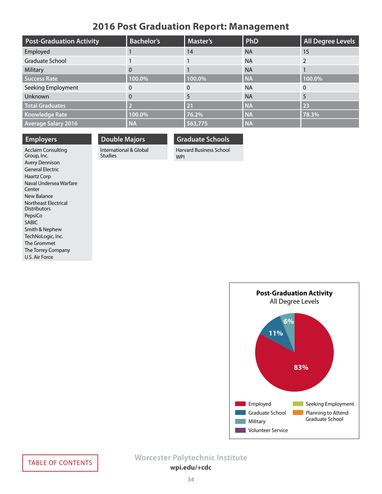## **2016 Post Graduation Report: Management**

<span id="page-33-0"></span>

| <b>Post-Graduation Activity</b> | <b>Bachelor's</b> | <b>Master's</b> | PhD       | <b>All Degree Levels</b> |
|---------------------------------|-------------------|-----------------|-----------|--------------------------|
| Employed                        |                   | 14              | <b>NA</b> | 15                       |
| Graduate School                 |                   |                 | <b>NA</b> |                          |
| Military                        | 0                 |                 | <b>NA</b> |                          |
| <b>Success Rate</b>             | 100.0%            | 100.0%          | <b>NA</b> | 100.0%                   |
| Seeking Employment              | 0                 |                 | <b>NA</b> | $\Omega$                 |
| <b>Unknown</b>                  | 0                 | 5               | <b>NA</b> | 5                        |
| <b>Total Graduates</b>          | D                 | 21              | <b>NA</b> | 23                       |
| <b>Knowledge Rate</b>           | 100.0%            | 76.2%           | <b>NA</b> | 78.3%                    |
| <b>Average Salary 2016</b>      | <b>NA</b>         | \$63,775        | <b>NA</b> |                          |

## **Employers**

Acclaim Consulting Group, Inc. Avery Dennison General Electric Haartz Corp Naval Undersea Warfare Center New Balance Northeast Electrical Distributors PepsiCo SABIC Smith & Nephew TechNoLogic, Inc. The Grommet The Torrey Company U.S. Air Force

## **Double Majors**

Studies

International & Global

## **Graduate Schools**

Harvard Business School WPI

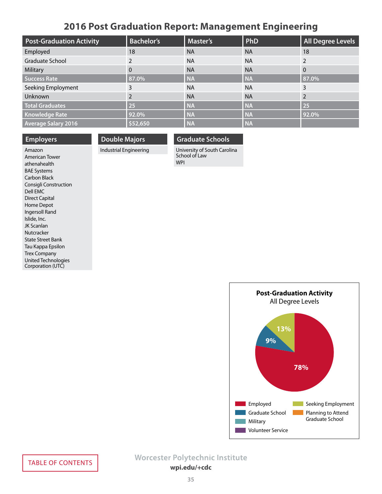## **2016 Post Graduation Report: Management Engineering**

<span id="page-34-0"></span>

| <b>Post-Graduation Activity</b> | <b>Bachelor's</b> | <b>Master's</b> | PhD       | <b>All Degree Levels</b> |
|---------------------------------|-------------------|-----------------|-----------|--------------------------|
| Employed                        | 18                | <b>NA</b>       | <b>NA</b> | 18                       |
| Graduate School                 |                   | <b>NA</b>       | <b>NA</b> |                          |
| Military                        | $\Omega$          | <b>NA</b>       | <b>NA</b> | $\overline{0}$           |
| <b>Success Rate</b>             | 87.0%             | <b>NA</b>       | <b>NA</b> | 87.0%                    |
| Seeking Employment              | 3                 | <b>NA</b>       | <b>NA</b> | 3                        |
| Unknown                         |                   | <b>NA</b>       | <b>NA</b> |                          |
| <b>Total Graduates</b>          | 25                | <b>NA</b>       | <b>NA</b> | 25                       |
| <b>Knowledge Rate</b>           | 92.0%             | <b>NA</b>       | <b>NA</b> | 92.0%                    |
| <b>Average Salary 2016</b>      | \$52,650          | <b>NA</b>       | <b>NA</b> |                          |

### **Employers**

**Double Majors**

### **Graduate Schools**

Industrial Engineering

University of South Carolina School of Law WPI

Amazon American Tower athenahealth BAE Systems Carbon Black Consigli Construction Dell EMC Direct Capital Home Depot Ingersoll Rand Islide, Inc. JK Scanlan Nutcracker State Street Bank Tau Kappa Epsilon Trex Company United Technologies Corporation (UTC)

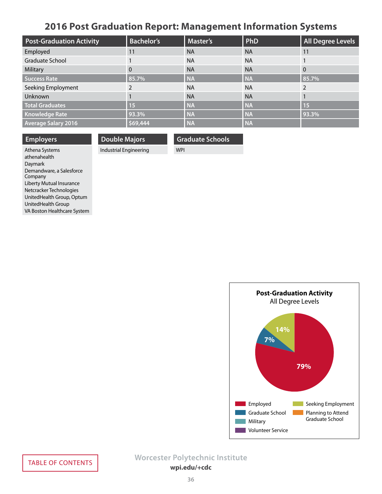# **2016 Post Graduation Report: Management Information Systems**

<span id="page-35-0"></span>

| <b>Post-Graduation Activity</b> | <b>Bachelor's</b> | <b>Master's</b> | PhD       | <b>All Degree Levels</b> |
|---------------------------------|-------------------|-----------------|-----------|--------------------------|
| Employed                        | 11                | <b>NA</b>       | <b>NA</b> | 11                       |
| Graduate School                 |                   | <b>NA</b>       | <b>NA</b> |                          |
| Military                        | $\Omega$          | <b>NA</b>       | <b>NA</b> | $\Omega$                 |
| Success Rate                    | 85.7%             | <b>NA</b>       | <b>NA</b> | 85.7%                    |
| Seeking Employment              |                   | <b>NA</b>       | <b>NA</b> |                          |
| Unknown                         |                   | <b>NA</b>       | <b>NA</b> |                          |
| <b>Total Graduates</b>          | 15                | <b>NA</b>       | <b>NA</b> | 15                       |
| <b>Knowledge Rate</b>           | 93.3%             | <b>NA</b>       | <b>NA</b> | 93.3%                    |
| <b>Average Salary 2016</b>      | \$69,444          | <b>NA</b>       | <b>NA</b> |                          |

| <b>Employers</b>         | <b>Double Majors</b>   | Graduate Schools |
|--------------------------|------------------------|------------------|
| Athena Systems           | Industrial Engineering | <b>WPI</b>       |
| الملحات والمساحية والجار |                        |                  |

Athena Systems athenahealth Daymark Demandware, a Salesforce Company Liberty Mutual Insurance Netcracker Technologies UnitedHealth Group, Optum UnitedHealth Group VA Boston Healthcare System

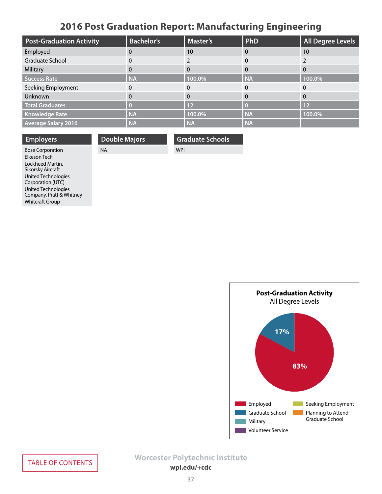# **2016 Post Graduation Report: Manufacturing Engineering**

<span id="page-36-0"></span>

| <b>Post-Graduation Activity</b> | <b>Bachelor's</b> | <b>Master's</b> | PhD       | <b>All Degree Levels</b> |
|---------------------------------|-------------------|-----------------|-----------|--------------------------|
| Employed                        | 0                 | 10              |           | 10                       |
| Graduate School                 | 0                 |                 |           |                          |
| Military                        | 0                 | 0               | $\Omega$  |                          |
| Success Rate                    | <b>NA</b>         | 100.0%          | <b>NA</b> | 100.0%                   |
| Seeking Employment              | 0                 | $\Omega$        | $\Omega$  |                          |
| Unknown                         | $\Omega$          | 0               | $\Omega$  | 0                        |
| <b>Total Graduates</b>          |                   | $\overline{12}$ |           | 12                       |
| <b>Knowledge Rate</b>           | <b>NA</b>         | 100.0%          | <b>NA</b> | 100.0%                   |
| <b>Average Salary 2016</b>      | <b>NA</b>         | <b>NA</b>       | <b>NA</b> |                          |

| <b>Employers</b>        | <b>Double Majors</b> | <b>Graduate Schools</b> |
|-------------------------|----------------------|-------------------------|
| <b>Bose Corporation</b> | <b>NA</b>            | <b>WPI</b>              |
| Elkeson Tech            |                      |                         |
| Lockheed Martin,        |                      |                         |



Sikorsky Aircraft United Technologies Corporation (UTC) United Technologies Company, Pratt & Whitney

Whitcraft Group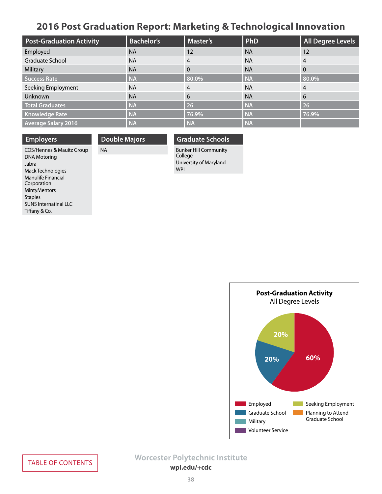## **2016 Post Graduation Report: Marketing & Technological Innovation**

<span id="page-37-0"></span>

| <b>Post-Graduation Activity</b> | <b>Bachelor's</b> | Master's  | PhD       | <b>All Degree Levels</b> |
|---------------------------------|-------------------|-----------|-----------|--------------------------|
| Employed                        | <b>NA</b>         | 12        | <b>NA</b> | 12                       |
| Graduate School                 | <b>NA</b>         | 4         | <b>NA</b> | 4                        |
| Military                        | <b>NA</b>         | 0         | <b>NA</b> | $\Omega$                 |
| Success Rate                    | <b>NA</b>         | 80.0%     | <b>NA</b> | 80.0%                    |
| Seeking Employment              | <b>NA</b>         | 4         | <b>NA</b> | 4                        |
| Unknown                         | <b>NA</b>         | 6         | <b>NA</b> | 6                        |
| <b>Total Graduates</b>          | <b>NA</b>         | 26        | <b>NA</b> | 26                       |
| <b>Knowledge Rate</b>           | <b>NA</b>         | 76.9%     | <b>NA</b> | 76.9%                    |
| <b>Average Salary 2016</b>      | <b>NA</b>         | <b>NA</b> | <b>NA</b> |                          |

**Employers** COS/Hennes & Mauitz Group DNA Motoring Jabra Mack Technologies Manulife Financial Corporation MintyMentors **Staples** SUNS Internatinal LLC Tiffany & Co.

**Double Majors**

NA

## **Graduate Schools**

Bunker Hill Community College University of Maryland WPI

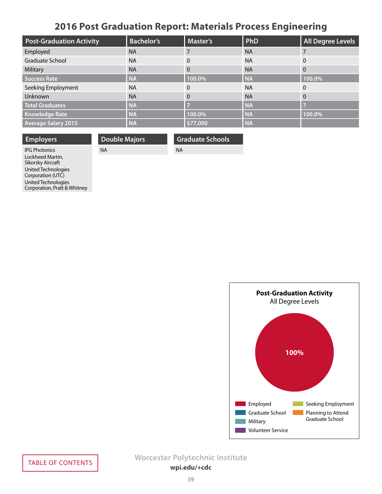# **2016 Post Graduation Report: Materials Process Engineering**

<span id="page-38-0"></span>

| <b>Post-Graduation Activity</b> | <b>Bachelor's</b> | Master's | PhD       | <b>All Degree Levels</b> |
|---------------------------------|-------------------|----------|-----------|--------------------------|
| Employed                        | <b>NA</b>         |          | <b>NA</b> |                          |
| Graduate School                 | <b>NA</b>         | $\Omega$ | <b>NA</b> | $\overline{0}$           |
| Military                        | <b>NA</b>         | $\Omega$ | <b>NA</b> | $\Omega$                 |
| Success Rate                    | <b>NA</b>         | 100.0%   | <b>NA</b> | 100.0%                   |
| Seeking Employment              | <b>NA</b>         | $\Omega$ | <b>NA</b> | $\Omega$                 |
| Unknown                         | <b>NA</b>         | $\Omega$ | <b>NA</b> | $\overline{0}$           |
| <b>Total Graduates</b>          | <b>NA</b>         |          | <b>NA</b> | ►                        |
| <b>Knowledge Rate</b>           | <b>NA</b>         | 100.0%   | <b>NA</b> | 100.0%                   |
| <b>Average Salary 2015</b>      | <b>NA</b>         | \$77,000 | <b>NA</b> |                          |

| <b>Employers</b>    | <b>Double Majors</b> | <b>Graduate Schools</b> |
|---------------------|----------------------|-------------------------|
| <b>PG Photonics</b> | NA                   | <b>NA</b>               |
| Lockheed Martin,    |                      |                         |

IPG Photonics Lockheed Martin, Sikorsky Aircraft United Technologies Corporation (UTC) United Technologies Corporation, Pratt & Whitney

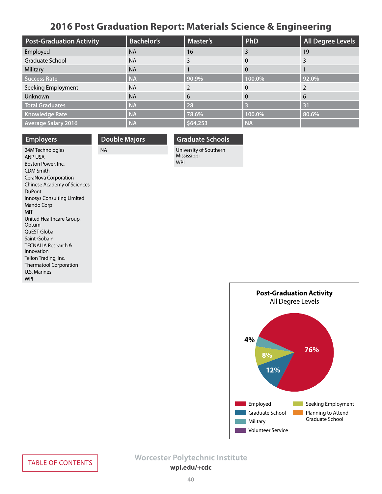# **2016 Post Graduation Report: Materials Science & Engineering**

<span id="page-39-0"></span>

| <b>Post-Graduation Activity</b> | <b>Bachelor's</b> | Master's | PhD       | <b>All Degree Levels</b> |
|---------------------------------|-------------------|----------|-----------|--------------------------|
| Employed                        | <b>NA</b>         | 16       | 3         | 19                       |
| Graduate School                 | <b>NA</b>         | 3        | $\Omega$  |                          |
| Military                        | <b>NA</b>         |          | 0         |                          |
| <b>Success Rate</b>             | <b>NA</b>         | 90.9%    | 100.0%    | 92.0%                    |
| Seeking Employment              | <b>NA</b>         |          | 0         |                          |
| Unknown                         | <b>NA</b>         | 6        | 0         | -6                       |
| <b>Total Graduates</b>          | <b>NA</b>         | 28       |           | 31                       |
| <b>Knowledge Rate</b>           | <b>NA</b>         | 78.6%    | 100.0%    | 80.6%                    |
| <b>Average Salary 2016</b>      | <b>NA</b>         | \$64,253 | <b>NA</b> |                          |

| <b>Employers</b>                             |
|----------------------------------------------|
| 24M Technologies<br>ANP USA                  |
| Boston Power, Inc.                           |
| <b>CDM Smith</b>                             |
| CeraNova Corporation                         |
| <b>Chinese Academy of Sciences</b>           |
| <b>DuPont</b>                                |
| Innosys Consulting Limited                   |
| Mando Corp                                   |
| <b>MIT</b>                                   |
| United Healthcare Group,                     |
| Optum                                        |
| QuEST Global                                 |
| Saint-Gobain                                 |
| <b>TECNALIA Research &amp;</b><br>Innovation |
|                                              |
| Tellon Trading, Inc.                         |
| <b>Thermatool Corporation</b>                |
| U.S. Marines                                 |
| <b>WPI</b>                                   |

## **Double Majors**

NA

### **Graduate Schools**

University of Southern Mississippi WPI

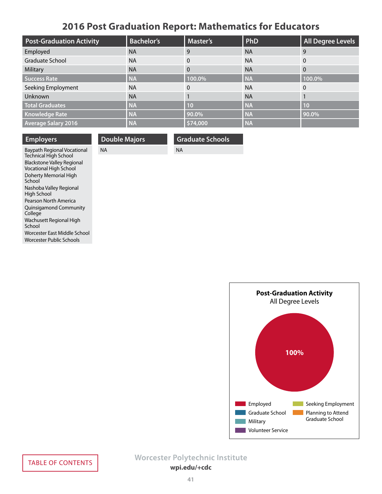# **2016 Post Graduation Report: Mathematics for Educators**

<span id="page-40-0"></span>

| <b>Post-Graduation Activity</b> | <b>Bachelor's</b> | <b>Master's</b> | PhD       | <b>All Degree Levels</b> |
|---------------------------------|-------------------|-----------------|-----------|--------------------------|
| Employed                        | <b>NA</b>         | 9               | <b>NA</b> | -9                       |
| Graduate School                 | <b>NA</b>         | $\Omega$        | <b>NA</b> | $\overline{0}$           |
| Military                        | <b>NA</b>         | 0               | <b>NA</b> | $\overline{0}$           |
| Success Rate                    | <b>NA</b>         | 100.0%          | <b>NA</b> | 100.0%                   |
| Seeking Employment              | <b>NA</b>         | 0               | <b>NA</b> | $\mathbf{0}$             |
| Unknown                         | <b>NA</b>         |                 | <b>NA</b> |                          |
| <b>Total Graduates</b>          | <b>NA</b>         | 10              | <b>NA</b> | 10                       |
| <b>Knowledge Rate</b>           | <b>NA</b>         | 90.0%           | <b>NA</b> | 90.0%                    |
| <b>Average Salary 2016</b>      | <b>NA</b>         | \$74,000        | <b>NA</b> |                          |

NA

**Graduate Schools**

| <b>Employers</b>                                                   |           | <b>Double Majors</b> |
|--------------------------------------------------------------------|-----------|----------------------|
| Baypath Regional Vocational<br><b>Technical High School</b>        | <b>NA</b> |                      |
| <b>Blackstone Valley Regional</b><br><b>Vocational High School</b> |           |                      |
| Doherty Memorial High<br>School                                    |           |                      |
| Nashoba Valley Regional<br>High School                             |           |                      |
| Pearson North America                                              |           |                      |
| <b>Quinsigamond Community</b><br>College                           |           |                      |
| Wachusett Regional High                                            |           |                      |

School

Worcester East Middle School Worcester Public Schools

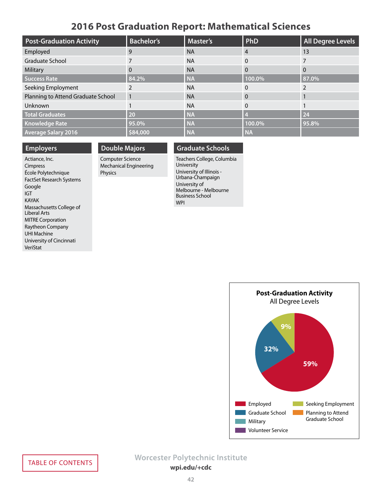## **2016 Post Graduation Report: Mathematical Sciences**

<span id="page-41-0"></span>

| <b>Post-Graduation Activity</b>    | <b>Bachelor's</b> | <b>Master's</b> | PhD       | <b>All Degree Levels</b> |
|------------------------------------|-------------------|-----------------|-----------|--------------------------|
| Employed                           | 9                 | <b>NA</b>       | 4         | 13                       |
| Graduate School                    |                   | <b>NA</b>       | $\Omega$  |                          |
| Military                           | 0                 | <b>NA</b>       | 0         | $\Omega$                 |
| Success Rate                       | 84.2%             | <b>NA</b>       | 100.0%    | 87.0%                    |
| Seeking Employment                 |                   | <b>NA</b>       | 0         |                          |
| Planning to Attend Graduate School |                   | <b>NA</b>       | 0         |                          |
| Unknown                            |                   | <b>NA</b>       | 0         |                          |
| <b>Total Graduates</b>             | 20                | <b>NA</b>       |           | 24                       |
| <b>Knowledge Rate</b>              | 95.0%             | <b>NA</b>       | 100.0%    | 95.8%                    |
| <b>Average Salary 2016</b>         | \$84,000          | <b>NA</b>       | <b>NA</b> |                          |

### **Employers**

Actiance, Inc. Cimpress École Polytechnique FactSet Research Systems Google IGT KAYAK Massachusetts College of Liberal Arts MITRE Corporation Raytheon Company UHI Machine University of Cincinnati VeriStat

## **Double Majors**

Computer Science Mechanical Engineering Physics

### **Graduate Schools**

Teachers College, Columbia University University of Illinois - Urbana-Champaign University of Melbourne - Melbourne Business School WPI

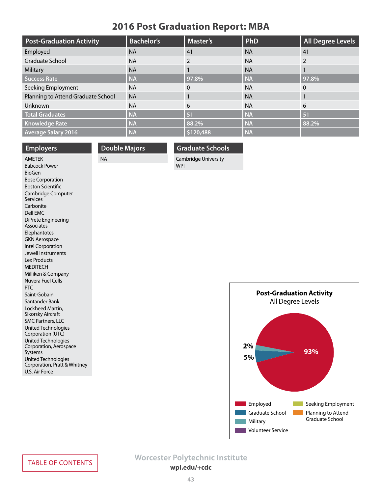## **2016 Post Graduation Report: MBA**

<span id="page-42-0"></span>

| <b>Post-Graduation Activity</b>    | <b>Bachelor's</b> | Master's      | PhD       | <b>All Degree Levels</b> |
|------------------------------------|-------------------|---------------|-----------|--------------------------|
| Employed                           | <b>NA</b>         | 41            | <b>NA</b> | 41                       |
| <b>Graduate School</b>             | <b>NA</b>         | $\mathcal{P}$ | <b>NA</b> |                          |
| Military                           | <b>NA</b>         |               | <b>NA</b> |                          |
| <b>Success Rate</b>                | <b>NA</b>         | 97.8%         | <b>NA</b> | 97.8%                    |
| Seeking Employment                 | <b>NA</b>         | $\Omega$      | <b>NA</b> | $\overline{0}$           |
| Planning to Attend Graduate School | <b>NA</b>         |               | <b>NA</b> |                          |
| Unknown                            | <b>NA</b>         | 6             | <b>NA</b> | 6                        |
| <b>Total Graduates</b>             | <b>NA</b>         | 51            | <b>NA</b> | 51                       |
| <b>Knowledge Rate</b>              | <b>NA</b>         | 88.2%         | <b>NA</b> | 88.2%                    |
| <b>Average Salary 2016</b>         | <b>NA</b>         | \$120,488     | <b>NA</b> |                          |

### **Employers**

## **Double Majors** NA

## **Graduate Schools** Cambridge University

WPI

AMETEK Babcock Power BioGen Bose Corporation Boston Scientific Cambridge Computer Services Carbonite Dell EMC DiPrete Engineering **Associates** Elephantotes GKN Aerospace Intel Corporation Jewell Instruments Lex Products **MEDITECH** Milliken & Company Nuvera Fuel Cells PTC Saint-Gobain Santander Bank Lockheed Martin, Sikorsky Aircraft SMC Partners, LLC United Technologies Corporation (UTC) United Technologies Corporation, Aerospace Systems United Technologies Corporation, Pratt & Whitney U.S. Air Force

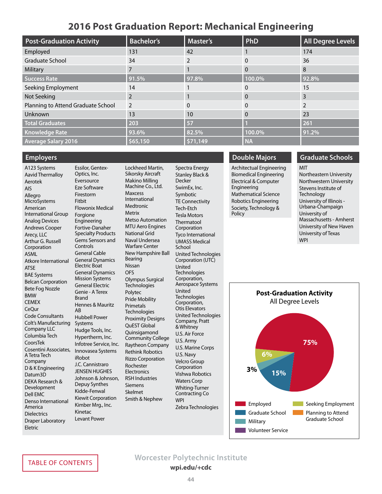## **2016 Post Graduation Report: Mechanical Engineering**

<span id="page-43-0"></span>

| <b>Post-Graduation Activity</b>    | <b>Bachelor's</b> | <b>Master's</b> | PhD       | <b>All Degree Levels</b> |
|------------------------------------|-------------------|-----------------|-----------|--------------------------|
| Employed                           | 131               | 42              |           | 174                      |
| Graduate School                    | 34                | $\mathfrak{p}$  | 0         | 36                       |
| Military                           |                   |                 | $\Omega$  | 8                        |
| <b>Success Rate</b>                | 91.5%             | 97.8%           | 100.0%    | 92.8%                    |
| Seeking Employment                 | 14                |                 | 0         | 15                       |
| Not Seeking                        | 2                 |                 |           | 3                        |
| Planning to Attend Graduate School | 2                 | $\Omega$        |           |                          |
| Unknown                            | 13                | 10              |           | 23                       |
| <b>Total Graduates</b>             | 203               | 57              |           | 261                      |
| <b>Knowledge Rate</b>              | 93.6%             | 82.5%           | 100.0%    | 91.2%                    |
| <b>Average Salary 2016</b>         | \$65,150          | 571,149         | <b>NA</b> |                          |

## **Employers** A123 Systems

Aavid Thermalloy Aerotek AIS Allegro MicroSystems American International Group Analog Devices Andrews Cooper Arecy, LLC Arthur G. Russell Corporation ASML Atkore International ATSE BAE Systems Belcan Corporation Bete Fog Nozzle BMW **CEMEX** CeQur Code Consultants Colt's Manufacturing Company LLC Columbia Tech CoorsTek Cosentini Associates, A Tetra Tech Company D & K Engineering Datum3D DEKA Research & Development Dell EMC Denso International America **Dielectrics** Draper Laboratory Eletric

Essilor, Gentex-Optics, Inc. Eversource Eze Software Firestorm **Fithit** Flowonix Medical Forgione Engineering Fortive-Danaher Specialty Products Gems Sensors and Controls General Cable General Dynamics Electric Boat General Dynamics Mission Systems General Electric Genie - A Terex Brand Hennes & Mauritz AB Hubbell Power Systems Hudge Tools, Inc. Hypertherm, Inc. Infotree Service, Inc. Innovasea Systems iRobot J.C. Cannistraro JENSEN HUGHES Johnson & Johnson, Depuy Synthes Kidde-Fenwal Kiewit Corporation Kimber Mrg., Inc. Kinetac Levant Power

Lockheed Martin, Sikorsky Aircraft Makino Milling Machine Co., Ltd. Maxcess International Medtronic Metrix Metso Automation MTU Aero Engines National Grid Naval Undersea Warfare Center New Hampshire Ball Bearing Nissan **OFS** Olympus Surgical **Technologies** Polytec Pride Mobility Primetals Technologies Proximity Designs QuEST Global Quinsigamond Community College Raytheon Company Rethink Robotics Rizzo Corporation Rochester **Electronics** RSH Industries Siemens Skelmet Smith & Nephew

Spectra Energy Stanley Black & **Decker** SwimEx, Inc. Symbotic TE Connectivity Tech-Etch Tesla Motors Thermatool Corporation Tyco International UMASS Medical School United Technologies Corporation (UTC) United **Technologies** Corporation, Aerospace Systems United **Technologies** Corporation, Otis Elevators United Technologies Company, Pratt & Whitney U.S. Air Force U.S. Army U.S. Marine Corps U.S. Navy Velcro Group Corporation Vishwa Robotics Waters Corp Whiting-Turner Contracting Co WPI Zebra Technologies

## **Double Majors**

Architectual Engineering Biomedical Engineering Electrical & Computer Engineering Mathematical Science Robotics Engineering Society, Technology & Policy

## **Graduate Schools**

MIT Northeastern University Northwestern University Stevens Institute of **Technology** University of Illinois - Urbana-Champaign University of Massachusetts - Amherst University of New Haven University of Texas **WPI** 

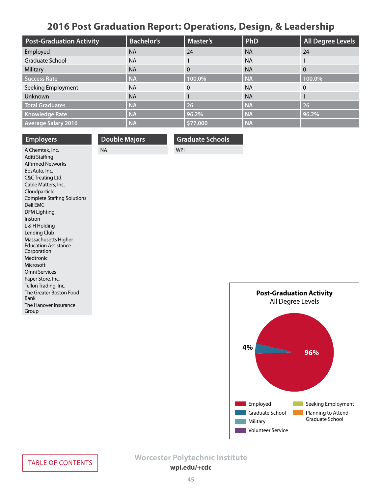# **2016 Post Graduation Report: Operations, Design, & Leadership**

<span id="page-44-0"></span>

| <b>Post-Graduation Activity</b> | <b>Bachelor's</b> | <b>Master's</b> | PhD       | <b>All Degree Levels</b> |
|---------------------------------|-------------------|-----------------|-----------|--------------------------|
| Employed                        | <b>NA</b>         | 24              | <b>NA</b> | 24                       |
| Graduate School                 | <b>NA</b>         |                 | <b>NA</b> |                          |
| Military                        | <b>NA</b>         | 0               | <b>NA</b> | $\Omega$                 |
| Success Rate                    | <b>NA</b>         | 100.0%          | <b>NA</b> | 100.0%                   |
| Seeking Employment              | <b>NA</b>         | $\Omega$        | <b>NA</b> | $\mathbf{0}$             |
| Unknown                         | <b>NA</b>         |                 | <b>NA</b> |                          |
| <b>Total Graduates</b>          | <b>NA</b>         | 26              | <b>NA</b> | 26                       |
| <b>Knowledge Rate</b>           | <b>NA</b>         | 96.2%           | <b>NA</b> | 96.2%                    |
| <b>Average Salary 2016</b>      | <b>NA</b>         | \$77,000        | <b>NA</b> |                          |

| <b>Employers</b>                           | <b>Double Majors</b> | <b>Graduate Schools</b> |
|--------------------------------------------|----------------------|-------------------------|
| A Chemtek, Inc.                            | <b>NA</b>            | <b>WPI</b>              |
| Aditi Staffing                             |                      |                         |
| <b>Affirmed Networks</b>                   |                      |                         |
| BosAuto, Inc.                              |                      |                         |
| C&C Treating Ltd.                          |                      |                         |
| Cable Matters, Inc.                        |                      |                         |
| Cloudparticle                              |                      |                         |
| <b>Complete Staffing Solutions</b>         |                      |                         |
| Dell EMC                                   |                      |                         |
| <b>DFM Lighting</b>                        |                      |                         |
| Instron                                    |                      |                         |
| L & H Holding                              |                      |                         |
| Lending Club                               |                      |                         |
| Massachusetts Higher                       |                      |                         |
| <b>Education Assistance</b><br>Corporation |                      |                         |
| Medtronic                                  |                      |                         |
| Microsoft                                  |                      |                         |
| Omni Services                              |                      |                         |
| Paper Store, Inc.                          |                      |                         |
| Tellon Trading, Inc.                       |                      |                         |
| The Greater Boston Food                    |                      |                         |
| <b>Bank</b>                                |                      |                         |
| The Hanover Insurance                      |                      |                         |
| Group                                      |                      |                         |
|                                            |                      |                         |

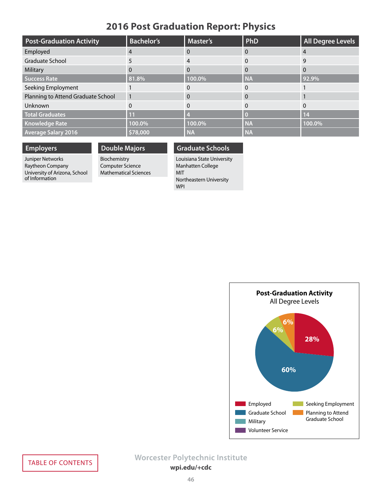# **2016 Post Graduation Report: Physics**

<span id="page-45-0"></span>

| <b>Post-Graduation Activity</b>    | <b>Bachelor's</b> | <b>Master's</b> | PhD       | <b>All Degree Levels</b> |
|------------------------------------|-------------------|-----------------|-----------|--------------------------|
| Employed                           |                   |                 | $\Omega$  | $\overline{4}$           |
| Graduate School                    |                   |                 | $\Omega$  | 9                        |
| Military                           |                   |                 | $\Omega$  | 0                        |
| <b>Success Rate</b>                | 81.8%             | 100.0%          | <b>NA</b> | 92.9%                    |
| Seeking Employment                 |                   |                 | $\Omega$  |                          |
| Planning to Attend Graduate School |                   |                 | $\Omega$  |                          |
| Unknown                            |                   |                 | $\Omega$  |                          |
| <b>Total Graduates</b>             | 11                |                 |           | 14                       |
| <b>Knowledge Rate</b>              | 100.0%            | 100.0%          | <b>NA</b> | 100.0%                   |
| <b>Average Salary 2016</b>         | \$78,000          | <b>NA</b>       | <b>NA</b> |                          |

## **Employers**

### **Double Majors**

Juniper Networks Raytheon Company University of Arizona, School of Information

Biochemistry Computer Science Mathematical Sciences

### **Graduate Schools**

Louisiana State University Manhatten College MIT Northeastern University WPI

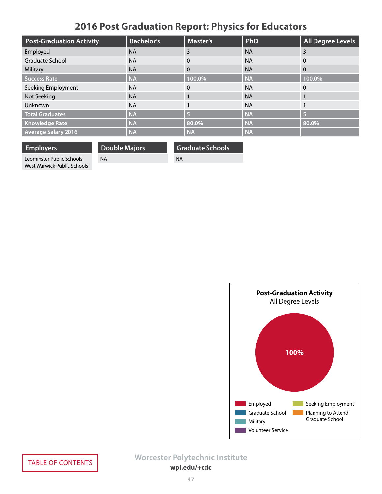# **2016 Post Graduation Report: Physics for Educators**

<span id="page-46-0"></span>

| <b>Post-Graduation Activity</b> | <b>Bachelor's</b> | <b>Master's</b> | PhD       | <b>All Degree Levels</b> |
|---------------------------------|-------------------|-----------------|-----------|--------------------------|
| Employed                        | <b>NA</b>         | 3               | <b>NA</b> | 3                        |
| <b>Graduate School</b>          | <b>NA</b>         | 0               | <b>NA</b> | $\Omega$                 |
| Military                        | <b>NA</b>         | $\theta$        | <b>NA</b> | $\Omega$                 |
| <b>Success Rate</b>             | <b>NA</b>         | 100.0%          | <b>NA</b> | 100.0%                   |
| Seeking Employment              | <b>NA</b>         | $\Omega$        | <b>NA</b> | $\Omega$                 |
| Not Seeking                     | <b>NA</b>         |                 | <b>NA</b> |                          |
| Unknown                         | <b>NA</b>         |                 | <b>NA</b> |                          |
| <b>Total Graduates</b>          | <b>NA</b>         |                 | <b>NA</b> | $\overline{5}$           |
| <b>Knowledge Rate</b>           | <b>NA</b>         | 80.0%           | <b>NA</b> | 80.0%                    |
| <b>Average Salary 2016</b>      | <b>NA</b>         | <b>NA</b>       | <b>NA</b> |                          |

**Employers** Leominster Public Schools West Warwick Public Schools **Double Majors**

NA

**Graduate Schools** NA

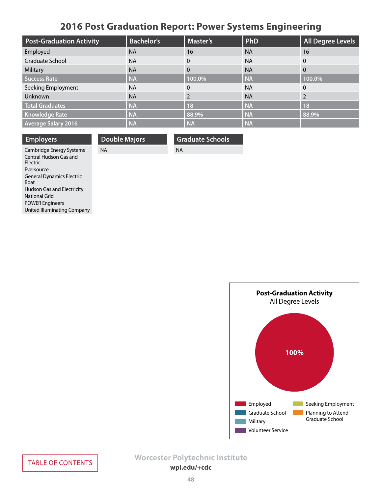# **2016 Post Graduation Report: Power Systems Engineering**

<span id="page-47-0"></span>

| <b>Post-Graduation Activity</b> | <b>Bachelor's</b> | <b>Master's</b> | PhD       | <b>All Degree Levels</b> |
|---------------------------------|-------------------|-----------------|-----------|--------------------------|
| Employed                        | <b>NA</b>         | 16              | <b>NA</b> | 16                       |
| Graduate School                 | <b>NA</b>         | $\mathbf{0}$    | <b>NA</b> | $\mathbf{0}$             |
| Military                        | <b>NA</b>         | $\Omega$        | <b>NA</b> | $\Omega$                 |
| <b>Success Rate</b>             | <b>NA</b>         | 100.0%          | <b>NA</b> | 100.0%                   |
| Seeking Employment              | <b>NA</b>         | $\Omega$        | <b>NA</b> | $\Omega$                 |
| Unknown                         | <b>NA</b>         |                 | <b>NA</b> |                          |
| <b>Total Graduates</b>          | <b>NA</b>         | <b>18</b>       | <b>NA</b> | <b>18</b>                |
| <b>Knowledge Rate</b>           | <b>NA</b>         | 88.9%           | <b>NA</b> | 88.9%                    |
| <b>Average Salary 2016</b>      | <b>NA</b>         | <b>NA</b>       | <b>NA</b> |                          |

| <b>Employers</b>                                               |  |
|----------------------------------------------------------------|--|
| Cambridge Energy Systems<br>Central Hudson Gas and<br>Flectric |  |
| Eversource                                                     |  |
| <b>General Dynamics Electric</b><br><b>Roat</b>                |  |
| <b>Hudson Gas and Electricity</b>                              |  |
| National Grid                                                  |  |
| <b>POWER Engineers</b>                                         |  |
| United Illuminating Company                                    |  |

**Double Majors** NA

**Graduate Schools**

NA

**Post-Graduation Activity** All Degree Levels **100%** Employed Graduate School Military **Volunteer Service** Seeking Employment Planning to Attend Graduate School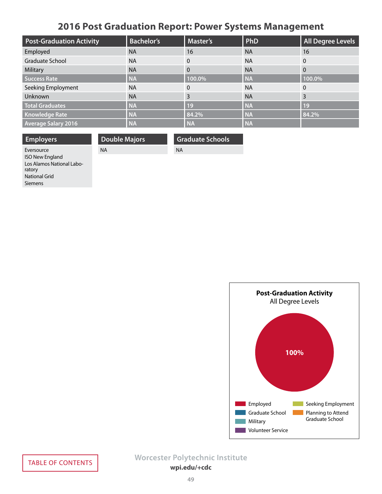# **2016 Post Graduation Report: Power Systems Management**

<span id="page-48-0"></span>

| <b>Post-Graduation Activity</b> | <b>Bachelor's</b> | Master's     | PhD       | <b>All Degree Levels</b> |
|---------------------------------|-------------------|--------------|-----------|--------------------------|
| Employed                        | <b>NA</b>         | 16           | <b>NA</b> | 16                       |
| Graduate School                 | <b>NA</b>         | $\mathbf{0}$ | <b>NA</b> | $\overline{0}$           |
| Military                        | <b>NA</b>         | $\Omega$     | <b>NA</b> | $\overline{0}$           |
| Success Rate                    | <b>NA</b>         | 100.0%       | <b>NA</b> | 100.0%                   |
| Seeking Employment              | <b>NA</b>         | $\Omega$     | <b>NA</b> | $\mathbf{0}$             |
| Unknown                         | <b>NA</b>         | 3            | <b>NA</b> | 3                        |
| <b>Total Graduates</b>          | <b>NA</b>         | 19           | <b>NA</b> | <b>19</b>                |
| <b>Knowledge Rate</b>           | <b>NA</b>         | 84.2%        | <b>NA</b> | 84.2%                    |
| <b>Average Salary 2016</b>      | <b>NA</b>         | <b>NA</b>    | <b>NA</b> |                          |

**Employers**

**Double Majors** NA

**Graduate Schools**

NA

Eversource ISO New England Los Alamos National Laboratory National Grid Siemens

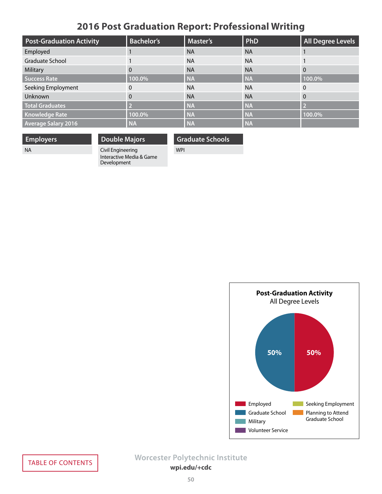# **2016 Post Graduation Report: Professional Writing**

<span id="page-49-0"></span>

| <b>Post-Graduation Activity</b> | <b>Bachelor's</b> | <b>Master's</b> | PhD       | <b>All Degree Levels</b> |
|---------------------------------|-------------------|-----------------|-----------|--------------------------|
| Employed                        |                   | <b>NA</b>       | <b>NA</b> |                          |
| Graduate School                 |                   | <b>NA</b>       | <b>NA</b> |                          |
| Military                        | $\Omega$          | <b>NA</b>       | <b>NA</b> | $\Omega$                 |
| <b>Success Rate</b>             | 100.0%            | <b>NA</b>       | <b>NA</b> | 100.0%                   |
| Seeking Employment              | 0                 | <b>NA</b>       | <b>NA</b> | $\Omega$                 |
| Unknown                         | $\Omega$          | <b>NA</b>       | <b>NA</b> | 0                        |
| <b>Total Graduates</b>          |                   | <b>NA</b>       | <b>NA</b> | D                        |
| <b>Knowledge Rate</b>           | 100.0%            | <b>NA</b>       | <b>NA</b> | 100.0%                   |
| <b>Average Salary 2016</b>      | <b>NA</b>         | <b>NA</b>       | <b>NA</b> |                          |

**Employers**

**Double Majors**

**Graduate Schools**

NA

Civil Engineering Interactive Media & Game Development

WPI

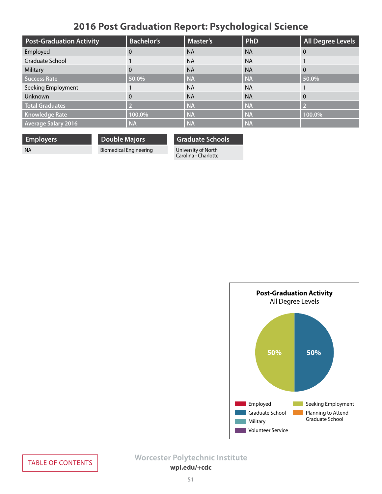# **2016 Post Graduation Report: Psychological Science**

<span id="page-50-0"></span>

| <b>Post-Graduation Activity</b> | <b>Bachelor's</b> | <b>Master's</b> | PhD       | <b>All Degree Levels</b> |
|---------------------------------|-------------------|-----------------|-----------|--------------------------|
| Employed                        | 0                 | <b>NA</b>       | <b>NA</b> | $\Omega$                 |
| Graduate School                 |                   | <b>NA</b>       | <b>NA</b> |                          |
| Military                        | $\Omega$          | <b>NA</b>       | <b>NA</b> | $\Omega$                 |
| <b>Success Rate</b>             | 50.0%             | <b>NA</b>       | <b>NA</b> | 50.0%                    |
| Seeking Employment              |                   | <b>NA</b>       | <b>NA</b> |                          |
| Unknown                         | $\Omega$          | <b>NA</b>       | <b>NA</b> | $\Omega$                 |
| <b>Total Graduates</b>          |                   | <b>NA</b>       | <b>NA</b> | D                        |
| <b>Knowledge Rate</b>           | 100.0%            | <b>NA</b>       | <b>NA</b> | 100.0%                   |
| <b>Average Salary 2016</b>      | <b>NA</b>         | <b>NA</b>       | <b>NA</b> |                          |

**Employers**

NA

**Double Majors** Biomedical Engineering **Graduate Schools**

University of North Carolina - Charlotte

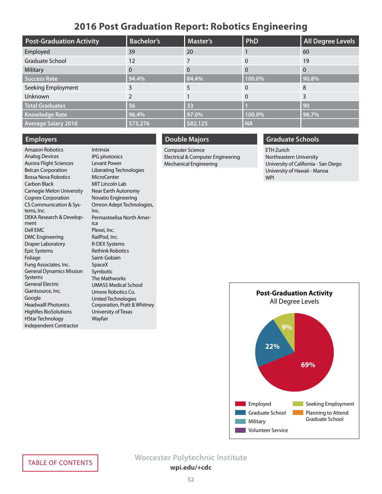## **2016 Post Graduation Report: Robotics Engineering**

<span id="page-51-0"></span>

| <b>Post-Graduation Activity</b> | <b>Bachelor's</b> | <b>Master's</b> | PhD       | <b>All Degree Levels</b> |
|---------------------------------|-------------------|-----------------|-----------|--------------------------|
| Employed                        | 39                | 20              |           | 60                       |
| Graduate School                 | 12                |                 | 0         | 19                       |
| Military                        | 0                 |                 | 0         |                          |
| <b>Success Rate</b>             | 94.4%             | 84.4%           | 100.0%    | 90.8%                    |
| Seeking Employment              | 3                 |                 | 0         | 8                        |
| Unknown                         |                   |                 | $\Omega$  |                          |
| <b>Total Graduates</b>          | 56                | 33              |           | 90                       |
| <b>Knowledge Rate</b>           | 96.4%             | 97.0%           | 100.0%    | 96.7%                    |
| <b>Average Salary 2016</b>      | \$73,276          | \$82,125        | <b>NA</b> |                          |

### **Employers**

Amazon Robotics Analog Devices Aurora Flight Sciences Belcan Corporation Bossa Nova Robotics Carbon Black Carnegie Melon University Cognex Corporation CS Communication & Systems, Inc. DEKA Research & Development Dell EMC DMC Engineering Draper Laboratory Epic Systems Foliage Fung Associates, Inc. General Dynamics Mission Systems General Electric Giantsource, Inc. Google Headwalll Photonics HighRes BioSolutions HStar Technology Independent Contractor

Intrinsix IPG photonics Levant Power Liberating Technologies **MicroCenter** MIT Lincoln Lab Near Earth Autonomy Novatio Engineering Omron Adept Technologies, Inc. Permasteelisa North America Plexxi, Inc. RailPod, Inc. R-DEX Systems Rethink Robotics Saint-Gobain SpaceX Symbotic The Mathworks UMASS Medical School Umore Robotics Co. United Technologies Corporation, Pratt & Whitney University of Texas Wayfair

### **Double Majors**

Computer Science Electrical & Computer Engineering Mechanical Engineering

## **Graduate Schools**

ETH Zurich Northeastern University University of California - San Diego University of Hawaii - Manoa WPI

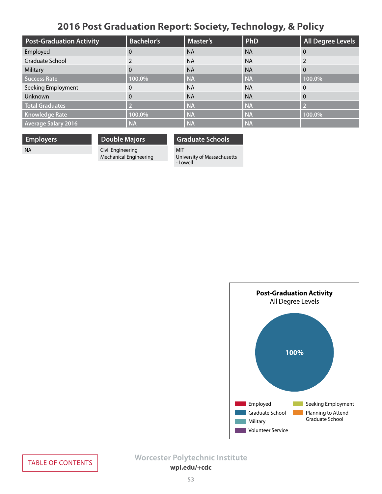# **2016 Post Graduation Report: Society, Technology, & Policy**

<span id="page-52-0"></span>

| <b>Post-Graduation Activity</b> | <b>Bachelor's</b> | <b>Master's</b> | PhD       | <b>All Degree Levels</b> |
|---------------------------------|-------------------|-----------------|-----------|--------------------------|
| Employed                        | 0                 | <b>NA</b>       | <b>NA</b> | 0                        |
| Graduate School                 |                   | <b>NA</b>       | <b>NA</b> |                          |
| Military                        | $\Omega$          | <b>NA</b>       | <b>NA</b> | $\Omega$                 |
| <b>Success Rate</b>             | 100.0%            | <b>NA</b>       | <b>NA</b> | 100.0%                   |
| Seeking Employment              | 0                 | <b>NA</b>       | <b>NA</b> | $\Omega$                 |
| Unknown                         | $\Omega$          | <b>NA</b>       | <b>NA</b> | 0                        |
| <b>Total Graduates</b>          |                   | <b>NA</b>       | <b>NA</b> | -2                       |
| <b>Knowledge Rate</b>           | 100.0%            | <b>NA</b>       | <b>NA</b> | 100.0%                   |
| <b>Average Salary 2016</b>      | <b>NA</b>         | <b>NA</b>       | <b>NA</b> |                          |

**Employers**

NA

**Double Majors**

Civil Engineering Mechanical Engineering **Graduate Schools**

MIT University of Massachusetts

- Lowell

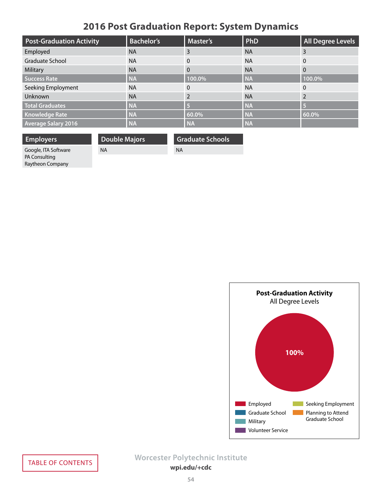# **2016 Post Graduation Report: System Dynamics**

<span id="page-53-0"></span>

| <b>Post-Graduation Activity</b> | <b>Bachelor's</b> | <b>Master's</b> | PhD       | <b>All Degree Levels</b> |
|---------------------------------|-------------------|-----------------|-----------|--------------------------|
| Employed                        | <b>NA</b>         | 3               | <b>NA</b> |                          |
| Graduate School                 | <b>NA</b>         | $\Omega$        | <b>NA</b> | 0                        |
| Military                        | <b>NA</b>         | $\Omega$        | <b>NA</b> | 0                        |
| Success Rate                    | <b>NA</b>         | 100.0%          | <b>NA</b> | 100.0%                   |
| Seeking Employment              | <b>NA</b>         | $\Omega$        | <b>NA</b> |                          |
| Unknown                         | <b>NA</b>         |                 | <b>NA</b> |                          |
| <b>Total Graduates</b>          | <b>NA</b>         |                 | <b>NA</b> |                          |
| <b>Knowledge Rate</b>           | <b>NA</b>         | 60.0%           | <b>NA</b> | 60.0%                    |
| <b>Average Salary 2016</b>      | <b>NA</b>         | <b>NA</b>       | <b>NA</b> |                          |

NA

**Employers**

**Double Majors** NA

**Graduate Schools**

Google, ITA Software PA Consulting Raytheon Company

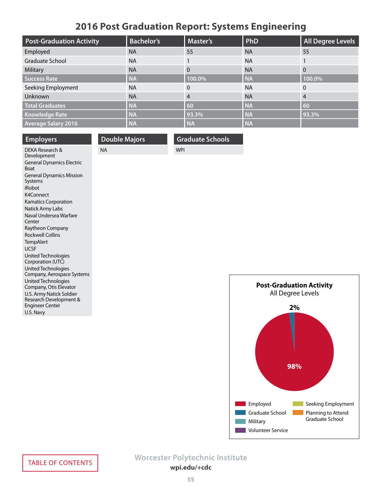# **2016 Post Graduation Report: Systems Engineering**

<span id="page-54-0"></span>

| <b>Post-Graduation Activity</b> | <b>Bachelor's</b> | <b>Master's</b> | PhD       | All Degree Levels |
|---------------------------------|-------------------|-----------------|-----------|-------------------|
| Employed                        | <b>NA</b>         | 55              | <b>NA</b> | 55                |
| Graduate School                 | <b>NA</b>         |                 | <b>NA</b> |                   |
| Military                        | <b>NA</b>         | $\Omega$        | <b>NA</b> |                   |
| Success Rate                    | <b>NA</b>         | 100.0%          | <b>NA</b> | 100.0%            |
| Seeking Employment              | <b>NA</b>         | $\Omega$        | <b>NA</b> | $\Omega$          |
| <b>Unknown</b>                  | <b>NA</b>         | $\overline{4}$  | <b>NA</b> | 4                 |
| <b>Total Graduates</b>          | <b>NA</b>         | 60              | <b>NA</b> | 60                |
| <b>Knowledge Rate</b>           | <b>NA</b>         | 93.3%           | <b>NA</b> | 93.3%             |
| <b>Average Salary 2016</b>      | <b>NA</b>         | <b>NA</b>       | <b>NA</b> |                   |

| <b>Employers</b>                                | <b>Double Majors</b> | <b>Graduate Schools</b> |
|-------------------------------------------------|----------------------|-------------------------|
| DEKA Research &<br>Development                  | <b>NA</b>            | <b>WPI</b>              |
| <b>General Dynamics Electric</b><br><b>Boat</b> |                      |                         |
| <b>General Dynamics Mission</b><br>Systems      |                      |                         |
| iRobot                                          |                      |                         |
| K4Connect                                       |                      |                         |
| <b>Kamatics Corporation</b>                     |                      |                         |
| Natick Army Labs                                |                      |                         |
| Naval Undersea Warfare                          |                      |                         |



Center

Raytheon Company Rockwell Collins **TempAlert** UCSF

United Technologies Corporation (UTC) United Technologies Company, Aerospace Systems United Technologies Company, Otis Elevator U.S. Army Natick Soldier Research Development & Engineer Center U.S. Navy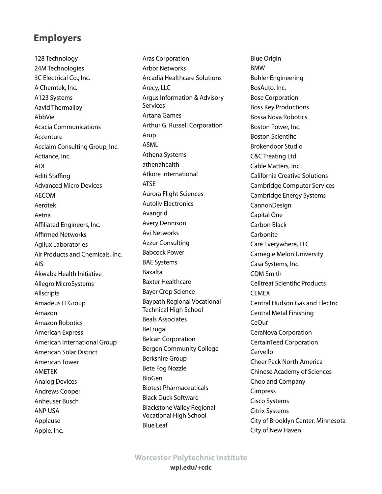# <span id="page-55-0"></span>**Employers**

128 Technology 24M Technologies 3C Electrical Co., Inc. A Chemtek, Inc. A123 Systems Aavid Thermalloy AbbVie Acacia Communications Accenture Acclaim Consulting Group, Inc. Actiance, Inc. ADI Aditi Staffing Advanced Micro Devices AECOM Aerotek Aetna Affiliated Engineers, Inc. Affirmed Networks Agilux Laboratories Air Products and Chemicals, Inc. AIS Akwaba Health Initiative Allegro MicroSystems Allscripts Amadeus IT Group Amazon Amazon Robotics American Express American International Group American Solar District American Tower AMETEK Analog Devices Andrews Cooper Anheuser Busch ANP USA Applause Apple, Inc.

Aras Corporation Arbor Networks Arcadia Healthcare Solutions Arecy, LLC Argus Information & Advisory Services Artana Games Arthur G. Russell Corporation Arup ASML Athena Systems athenahealth Atkore International ATSE Aurora Flight Sciences Autoliv Electronics Avangrid Avery Dennison Avi Networks Azzur Consulting Babcock Power BAE Systems Baxalta Baxter Healthcare Bayer Crop Science Baypath Regional Vocational Technical High School Beals Associates BeFrugal Belcan Corporation Bergen Community College Berkshire Group Bete Fog Nozzle BioGen Biotest Pharmaceuticals Black Duck Software Blackstone Valley Regional Vocational High School Blue Leaf

Blue Origin BMW Bohler Engineering BosAuto, Inc. Bose Corporation Boss Key Productions Bossa Nova Robotics Boston Power, Inc. Boston Scientific Brokendoor Studio C&C Treating Ltd. Cable Matters, Inc. California Creative Solutions Cambridge Computer Services Cambridge Energy Systems CannonDesign Capital One Carbon Black **Carbonite** Care Everywhere, LLC Carnegie Melon University Casa Systems, Inc. CDM Smith Celltreat Scientific Products **CEMEX** Central Hudson Gas and Electric Central Metal Finishing CeQur CeraNova Corporation CertainTeed Corporation Cervello Cheer Pack North America Chinese Academy of Sciences Choo and Company Cimpress Cisco Systems Citrix Systems City of Brooklyn Center, Minnesota City of New Haven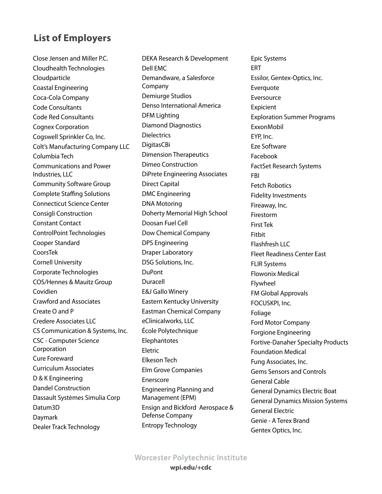Close Jensen and Miller P.C. Cloudhealth Technologies Cloudparticle Coastal Engineering Coca-Cola Company Code Consultants Code Red Consultants Cognex Corporation Cogswell Sprinkler Co, Inc. Colt's Manufacturing Company LLC Columbia Tech Communications and Power Industries, LLC Community Software Group Complete Staffing Solutions Connecticut Science Center Consigli Construction Constant Contact ControlPoint Technologies Cooper Standard CoorsTek Cornell University Corporate Technologies COS/Hennes & Mauitz Group Covidien Crawford and Associates Create O and P Credere Associates LLC CS Communication & Systems, Inc. CSC - Computer Science Corporation Cure Foreward Curriculum Associates D & K Engineering Dandel Construction Dassault Systèmes Simulia Corp Datum3D Daymark Dealer Track Technology

DEKA Research & Development Dell EMC Demandware, a Salesforce Company Demiurge Studios Denso International America DFM Lighting Diamond Diagnostics **Dielectrics** DigitasCBi Dimension Therapeutics Dimeo Construction DiPrete Engineering Associates Direct Capital DMC Engineering DNA Motoring Doherty Memorial High School Doosan Fuel Cell Dow Chemical Company DPS Engineering Draper Laboratory DSG Solutions, Inc. DuPont Duracell E&J Gallo Winery Eastern Kentucky University Eastman Chemical Company eClinicalworks, LLC École Polytechnique **Elephantotes** Eletric Elkeson Tech Elm Grove Companies Enerscore Engineering Planning and Management (EPM) Ensign and Bickford Aerospace & Defense Company Entropy Technology

Epic Systems ERT Essilor, Gentex-Optics, Inc. Everquote Eversource Expicient Exploration Summer Programs ExxonMobil EYP, Inc. Eze Software Facebook FactSet Research Systems FBI Fetch Robotics Fidelity Investments Fireaway, Inc. Firestorm First Tek Fitbit Flashfresh LLC Fleet Readiness Center East FLIR Systems Flowonix Medical Flywheel FM Global Approvals FOCUSKPI, Inc. Foliage Ford Motor Company Forgione Engineering Fortive-Danaher Specialty Products Foundation Medical Fung Associates, Inc. Gems Sensors and Controls General Cable General Dynamics Electric Boat General Dynamics Mission Systems General Electric Genie - A Terex Brand Gentex Optics, Inc.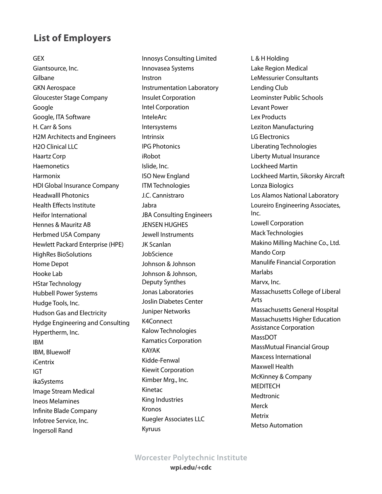GEX Giantsource, Inc. Gilbane GKN Aerospace Gloucester Stage Company Google Google, ITA Software H. Carr & Sons H2M Architects and Engineers H2O Clinical LLC Haartz Corp **Haemonetics** Harmonix HDI Global Insurance Company Headwalll Photonics Health Effects Institute Heifor International Hennes & Mauritz AB Herbmed USA Company Hewlett Packard Enterprise (HPE) HighRes BioSolutions Home Depot Hooke Lab HStar Technology Hubbell Power Systems Hudge Tools, Inc. Hudson Gas and Electricity Hydge Engineering and Consulting Hypertherm, Inc. IBM IBM, Bluewolf iCentrix IGT ikaSystems Image Stream Medical Ineos Melamines Infinite Blade Company Infotree Service, Inc. Ingersoll Rand

Innosys Consulting Limited Innovasea Systems Instron Instrumentation Laboratory Insulet Corporation Intel Corporation InteleArc Intersystems Intrinsix IPG Photonics iRobot Islide, Inc. ISO New England ITM Technologies J.C. Cannistraro Jabra JBA Consulting Engineers JENSEN HUGHES Jewell Instruments JK Scanlan JobScience Johnson & Johnson Johnson & Johnson, Deputy Synthes Jonas Laboratories Joslin Diabetes Center Juniper Networks K4Connect Kalow Technologies Kamatics Corporation KAYAK Kidde-Fenwal Kiewit Corporation Kimber Mrg., Inc. Kinetac King Industries Kronos Kuegler Associates LLC Kyruus

L & H Holding Lake Region Medical LeMessurier Consultants Lending Club Leominster Public Schools Levant Power Lex Products Leziton Manufacturing LG Electronics Liberating Technologies Liberty Mutual Insurance Lockheed Martin Lockheed Martin, Sikorsky Aircraft Lonza Biologics Los Alamos National Laboratory Loureiro Engineering Associates, Inc. Lowell Corporation Mack Technologies Makino Milling Machine Co., Ltd. Mando Corp Manulife Financial Corporation **Marlabs** Marvx, Inc. Massachusetts College of Liberal Arts Massachusetts General Hospital Massachusetts Higher Education Assistance Corporation MassDOT MassMutual Financial Group Maxcess International Maxwell Health McKinney & Company MEDITECH Medtronic Merck Metrix Metso Automation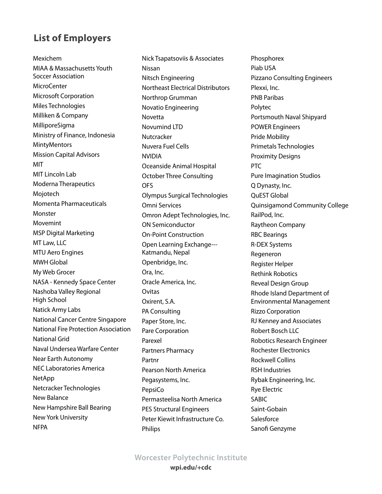Mexichem MIAA & Massachusetts Youth Soccer Association MicroCenter Microsoft Corporation Miles Technologies Milliken & Company MilliporeSigma Ministry of Finance, Indonesia **MintyMentors** Mission Capital Advisors MIT MIT Lincoln Lab Moderna Therapeutics Mojotech Momenta Pharmaceuticals Monster Movemint MSP Digital Marketing MT Law, LLC MTU Aero Engines MWH Global My Web Grocer NASA - Kennedy Space Center Nashoba Valley Regional High School Natick Army Labs National Cancer Centre Singapore National Fire Protection Association National Grid Naval Undersea Warfare Center Near Earth Autonomy NEC Laboratories America NetApp Netcracker Technologies New Balance New Hampshire Ball Bearing New York University **NFPA** 

Nick Tsapatsoviis & Associates Nissan Nitsch Engineering Northeast Electrical Distributors Northrop Grumman Novatio Engineering Novetta Novumind LTD Nutcracker Nuvera Fuel Cells NVIDIA Oceanside Animal Hospital October Three Consulting OFS Olympus Surgical Technologies Omni Services Omron Adept Technologies, Inc. ON Semiconductor On-Point Construction Open Learning Exchange--- Katmandu, Nepal Openbridge, Inc. Ora, Inc. Oracle America, Inc. Ovitas Oxirent, S.A. PA Consulting Paper Store, Inc. Pare Corporation Parexel Partners Pharmacy Partnr Pearson North America Pegasystems, Inc. PepsiCo Permasteelisa North America PES Structural Engineers Peter Kiewit Infrastructure Co. Philips

Phosphorex Piab USA Pizzano Consulting Engineers Plexxi, Inc. PNB Paribas Polytec Portsmouth Naval Shipyard POWER Engineers Pride Mobility Primetals Technologies Proximity Designs PTC Pure Imagination Studios Q Dynasty, Inc. QuEST Global Quinsigamond Community College RailPod, Inc. Raytheon Company RBC Bearings R-DEX Systems Regeneron Register Helper Rethink Robotics Reveal Design Group Rhode Island Department of Environmental Management Rizzo Corporation RJ Kenney and Associates Robert Bosch LLC Robotics Research Engineer Rochester Electronics Rockwell Collins RSH Industries Rybak Engineering, Inc. Rye Electric SABIC Saint-Gobain Salesforce Sanofi Genzyme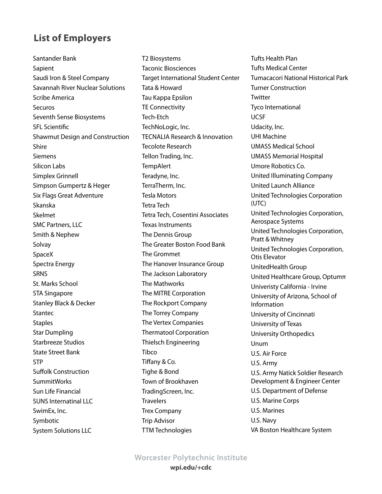Santander Bank Sapient Saudi Iron & Steel Company Savannah River Nuclear Solutions Scribe America **Securos** Seventh Sense Biosystems SFL Scientific Shawmut Design and Construction Shire **Siemens** Silicon Labs Simplex Grinnell Simpson Gumpertz & Heger Six Flags Great Adventure Skanska Skelmet SMC Partners, LLC Smith & Nephew Solvay SpaceX Spectra Energy **SRNS** St. Marks School STA Singapore Stanley Black & Decker Stantec **Staples** Star Dumpling Starbreeze Studios State Street Bank STP Suffolk Construction **SummitWorks** Sun Life Financial SUNS Internatinal LLC SwimEx, Inc. Symbotic System Solutions LLC

T2 Biosystems Taconic Biosciences Target International Student Center Tata & Howard Tau Kappa Epsilon TE Connectivity Tech-Etch TechNoLogic, Inc. TECNALIA Research & Innovation Tecolote Research Tellon Trading, Inc. **TempAlert** Teradyne, Inc. TerraTherm, Inc. Tesla Motors Tetra Tech Tetra Tech, Cosentini Associates Texas Instruments The Dennis Group The Greater Boston Food Bank The Grommet The Hanover Insurance Group The Jackson Laboratory The Mathworks The MITRE Corporation The Rockport Company The Torrey Company The Vertex Companies Thermatool Corporation Thielsch Engineering Tibco Tiffany & Co. Tighe & Bond Town of Brookhaven TradingScreen, Inc. **Travelers** Trex Company Trip Advisor TTM Technologies

Tufts Health Plan Tufts Medical Center Tumacacori National Historical Park Turner Construction **Twitter** Tyco International UCSF Udacity, Inc. UHI Machine UMASS Medical School UMASS Memorial Hospital Umore Robotics Co. United Illuminating Company United Launch Alliance United Technologies Corporation (UTC) United Technologies Corporation, Aerospace Systems United Technologies Corporation, Pratt & Whitney United Technologies Corporation, Otis Elevator UnitedHealth Group United Healthcare Group, Optumπ Univeristy California - Irvine University of Arizona, School of Information University of Cincinnati University of Texas University Orthopedics Unum U.S. Air Force U.S. Army U.S. Army Natick Soldier Research Development & Engineer Center U.S. Department of Defense U.S. Marine Corps U.S. Marines U.S. Navy VA Boston Healthcare System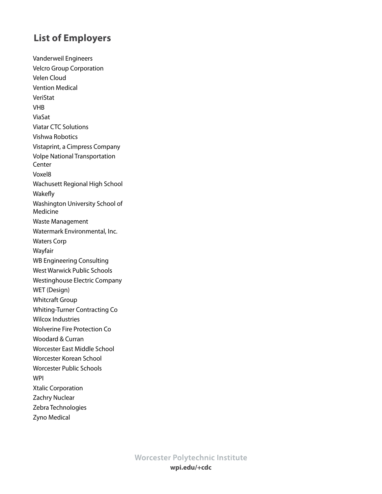Vanderweil Engineers Velcro Group Corporation Velen Cloud Vention Medical VeriStat VHB ViaSat Viatar CTC Solutions Vishwa Robotics Vistaprint, a Cimpress Company Volpe National Transportation **Center** Voxel8 Wachusett Regional High School Wakefly Washington University School of Medicine Waste Management Watermark Environmental, Inc. Waters Corp Wayfair WB Engineering Consulting West Warwick Public Schools Westinghouse Electric Company WET (Design) Whitcraft Group Whiting-Turner Contracting Co Wilcox Industries Wolverine Fire Protection Co Woodard & Curran Worcester East Middle School Worcester Korean School Worcester Public Schools WPI Xtalic Corporation Zachry Nuclear Zebra Technologies Zyno Medical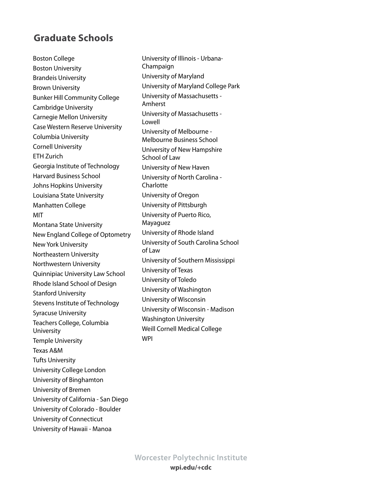## <span id="page-61-0"></span>**Graduate Schools**

Boston College Boston University Brandeis University Brown University Bunker Hill Community College Cambridge University Carnegie Mellon University Case Western Reserve University Columbia University Cornell University ETH Zurich Georgia Institute of Technology Harvard Business School Johns Hopkins University Louisiana State University Manhatten College MIT Montana State University New England College of Optometry New York University Northeastern University Northwestern University Quinnipiac University Law School Rhode Island School of Design Stanford University Stevens Institute of Technology Syracuse University Teachers College, Columbia University Temple University Texas A&M Tufts University University College London University of Binghamton University of Bremen University of California - San Diego University of Colorado - Boulder University of Connecticut

University of Hawaii - Manoa

University of Illinois - Urbana-Champaign University of Maryland University of Maryland College Park University of Massachusetts - Amherst University of Massachusetts - Lowell University of Melbourne - Melbourne Business School University of New Hampshire School of Law University of New Haven University of North Carolina - **Charlotte** University of Oregon University of Pittsburgh University of Puerto Rico, Mayaguez University of Rhode Island University of South Carolina School of Law University of Southern Mississippi University of Texas University of Toledo University of Washington University of Wisconsin University of Wisconsin - Madison Washington University Weill Cornell Medical College WPI